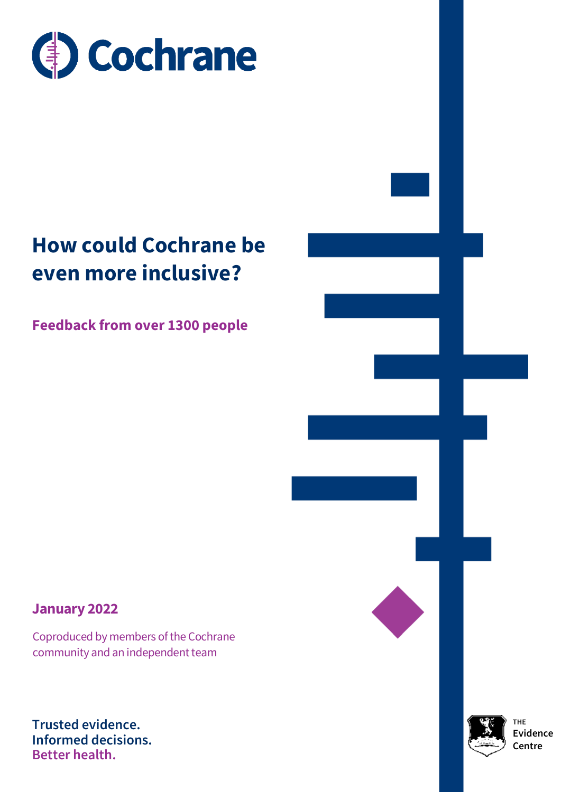

# **How could Cochrane be even more inclusive?**

**Feedback from over 1300 people**

# **January 2022**

 Coproduced by members of the Cochrane community and an independent team

**Trusted evidence. Informed decisions. Better health.**



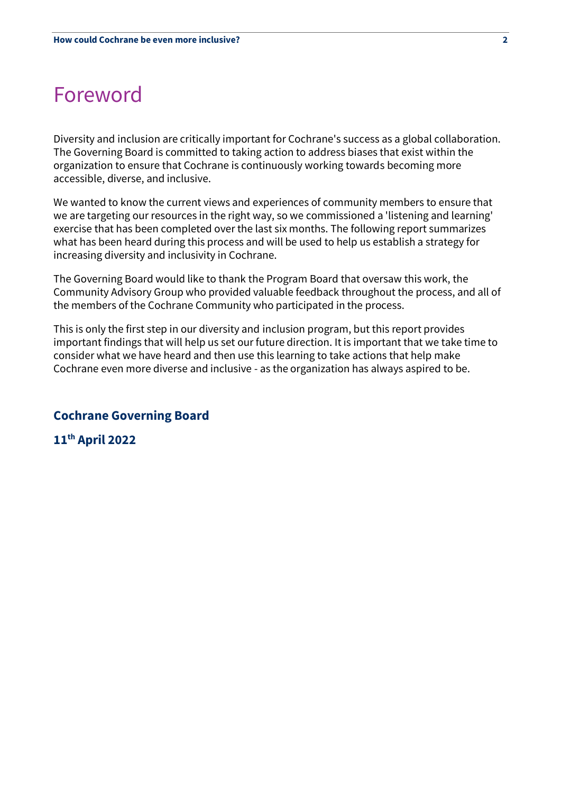# Foreword

Diversity and inclusion are critically important for Cochrane's success as a global collaboration. The Governing Board is committed to taking action to address biases that exist within the organization to ensure that Cochrane is continuously working towards becoming more accessible, diverse, and inclusive.

We wanted to know the current views and experiences of community members to ensure that we are targeting our resources in the right way, so we commissioned a 'listening and learning' exercise that has been completed over the last six months. The following report summarizes what has been heard during this process and will be used to help us establish a strategy for increasing diversity and inclusivity in Cochrane.

The Governing Board would like to thank the Program Board that oversaw this work, the Community Advisory Group who provided valuable feedback throughout the process, and all of the members of the Cochrane Community who participated in the process.

This is only the first step in our diversity and inclusion program, but this report provides important findings that will help us set our future direction. It is important that we take time to consider what we have heard and then use this learning to take actions that help make Cochrane even more diverse and inclusive - as the organization has always aspired to be.

# **Cochrane Governing Board**

**11th April 2022**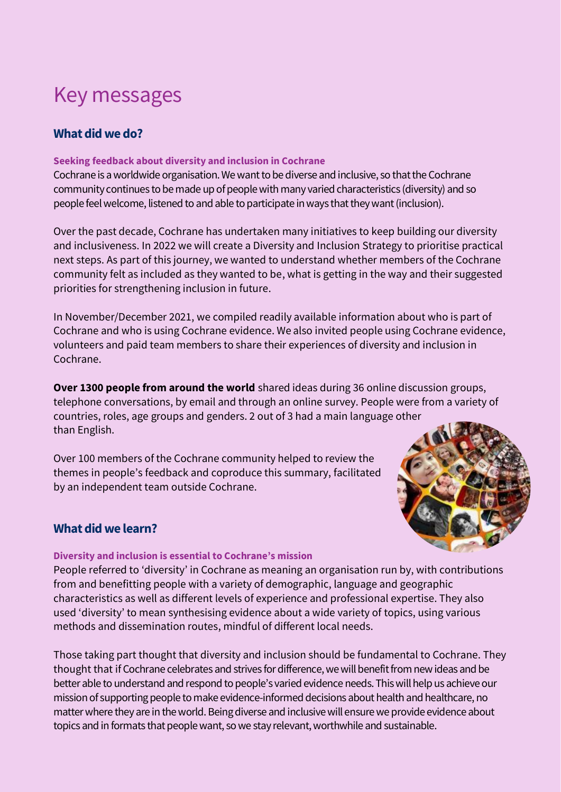# Key messages

# **What did we do?**

# **Seeking feedback about diversity and inclusion in Cochrane**

Cochrane is a worldwide organisation. We want to be diverse and inclusive, so that the Cochrane community continues to be made up of people with many varied characteristics (diversity) and so people feel welcome, listened to and able to participate in ways that they want (inclusion).

Over the past decade, Cochrane has undertaken many initiatives to keep building our diversity and inclusiveness. In 2022 we will create a Diversity and Inclusion Strategy to prioritise practical next steps. As part of this journey, we wanted to understand whether members of the Cochrane community felt as included as they wanted to be, what is getting in the way and their suggested priorities for strengthening inclusion in future.

In November/December 2021, we compiled readily available information about who is part of Cochrane and who is using Cochrane evidence. We also invited people using Cochrane evidence, volunteers and paid team members to share their experiences of diversity and inclusion in Cochrane.

**Over 1300 people from around the world** shared ideas during 36 online discussion groups, telephone conversations, by email and through an online survey. People were from a variety of countries, roles, age groups and genders. 2 out of 3 had a main language other than English.

Over 100 members of the Cochrane community helped to review the themes in people's feedback and coproduce this summary, facilitated by an independent team outside Cochrane.

# **What did we learn?**

# **Diversity and inclusion is essential to Cochrane's mission**

People referred to 'diversity' in Cochrane as meaning an organisation run by, with contributions from and benefitting people with a variety of demographic, language and geographic characteristics as well as different levels of experience and professional expertise. They also used 'diversity' to mean synthesising evidence about a wide variety of topics, using various methods and dissemination routes, mindful of different local needs.

Those taking part thought that diversity and inclusion should be fundamental to Cochrane. They thought that if Cochrane celebrates and strives for difference, we will benefit from new ideas and be better able to understand and respond to people's varied evidence needs. This will help us achieve our mission of supporting people to make evidence-informed decisions about health and healthcare, no matter where they are in the world. Being diverse and inclusive will ensure we provide evidence about topics and in formats that people want, so we stay relevant, worthwhile and sustainable.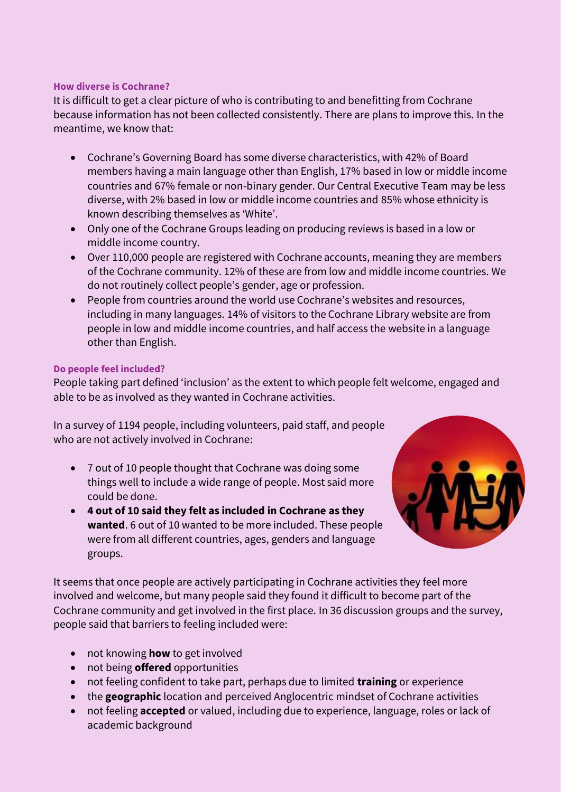# **How diverse is Cochrane?**

It is difficult to get a clear picture of who is contributing to and benefitting from Cochrane because information has not been collected consistently. There are plans to improve this. In the meantime, we know that:

- Cochrane's Governing Board has some diverse characteristics, with 42% of Board members having a main language other than English, 17% based in low or middle income countries and 67% female or non-binary gender. Our Central Executive Team may be less diverse, with 2% based in low or middle income countries and 85% whose ethnicity is known describing themselves as 'White'.
- Only one of the Cochrane Groups leading on producing reviews is based in a low or middle income country.
- Over 110,000 people are registered with Cochrane accounts, meaning they are members of the Cochrane community. 12% of these are from low and middle income countries. We do not routinely collect people's gender, age or profession.
- People from countries around the world use Cochrane's websites and resources, including in many languages. 14% of visitors to the Cochrane Library website are from people in low and middle income countries, and half access the website in a language other than English.

# **Do people feel included?**

People taking part defined 'inclusion' as the extent to which people felt welcome, engaged and able to be as involved as they wanted in Cochrane activities.

In a survey of 1194 people, including volunteers, paid staff, and people who are not actively involved in Cochrane:

- 7 out of 10 people thought that Cochrane was doing some things well to include a wide range of people. Most said more could be done.
- **4 out of 10 said they felt as included in Cochrane as they wanted**. 6 out of 10 wanted to be more included. These people were from all different countries, ages, genders and language groups.



It seems that once people are actively participating in Cochrane activities they feel more involved and welcome, but many people said they found it difficult to become part of the Cochrane community and get involved in the first place. In 36 discussion groups and the survey, people said that barriers to feeling included were:

- not knowing **how** to get involved
- not being **offered** opportunities
- not feeling confident to take part, perhaps due to limited **training** or experience
- the **geographic** location and perceived Anglocentric mindset of Cochrane activities
- not feeling **accepted** or valued, including due to experience, language, roles or lack of academic background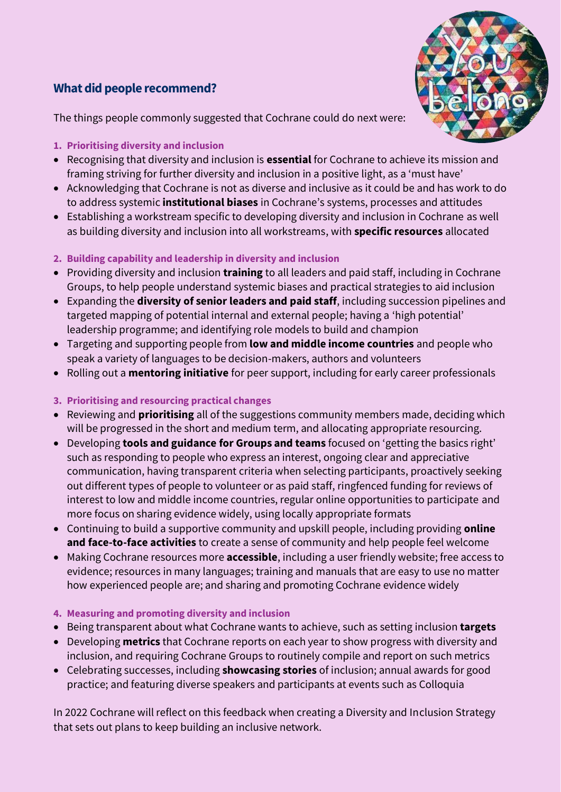# **What did people recommend?**



The things people commonly suggested that Cochrane could do next were:

- **1. Prioritising diversity and inclusion**
- Recognising that diversity and inclusion is **essential** for Cochrane to achieve its mission and framing striving for further diversity and inclusion in a positive light, as a 'must have'
- Acknowledging that Cochrane is not as diverse and inclusive as it could be and has work to do to address systemic **institutional biases** in Cochrane's systems, processes and attitudes
- Establishing a workstream specific to developing diversity and inclusion in Cochrane as well as building diversity and inclusion into all workstreams, with **specific resources** allocated
- **2. Building capability and leadership in diversity and inclusion**
- Providing diversity and inclusion **training** to all leaders and paid staff, including in Cochrane Groups, to help people understand systemic biases and practical strategies to aid inclusion
- Expanding the **diversity of senior leaders and paid staff**, including succession pipelines and targeted mapping of potential internal and external people; having a 'high potential' leadership programme; and identifying role models to build and champion
- Targeting and supporting people from **low and middle income countries** and people who speak a variety of languages to be decision-makers, authors and volunteers
- Rolling out a **mentoring initiative** for peer support, including for early career professionals
- **3. Prioritising and resourcing practical changes**
- Reviewing and **prioritising** all of the suggestions community members made, deciding which will be progressed in the short and medium term, and allocating appropriate resourcing.
- Developing **tools and guidance for Groups and teams** focused on 'getting the basics right' such as responding to people who express an interest, ongoing clear and appreciative communication, having transparent criteria when selecting participants, proactively seeking out different types of people to volunteer or as paid staff, ringfenced funding for reviews of interest to low and middle income countries, regular online opportunities to participate and more focus on sharing evidence widely, using locally appropriate formats
- Continuing to build a supportive community and upskill people, including providing **online and face-to-face activities** to create a sense of community and help people feel welcome
- Making Cochrane resources more **accessible**, including a user friendly website; free access to evidence; resources in many languages; training and manuals that are easy to use no matter how experienced people are; and sharing and promoting Cochrane evidence widely
- **4. Measuring and promoting diversity and inclusion**
- Being transparent about what Cochrane wants to achieve, such as setting inclusion **targets**
- Developing **metrics** that Cochrane reports on each year to show progress with diversity and inclusion, and requiring Cochrane Groups to routinely compile and report on such metrics
- Celebrating successes, including **showcasing stories** of inclusion; annual awards for good practice; and featuring diverse speakers and participants at events such as Colloquia

In 2022 Cochrane will reflect on this feedback when creating a Diversity and Inclusion Strategy that sets out plans to keep building an inclusive network.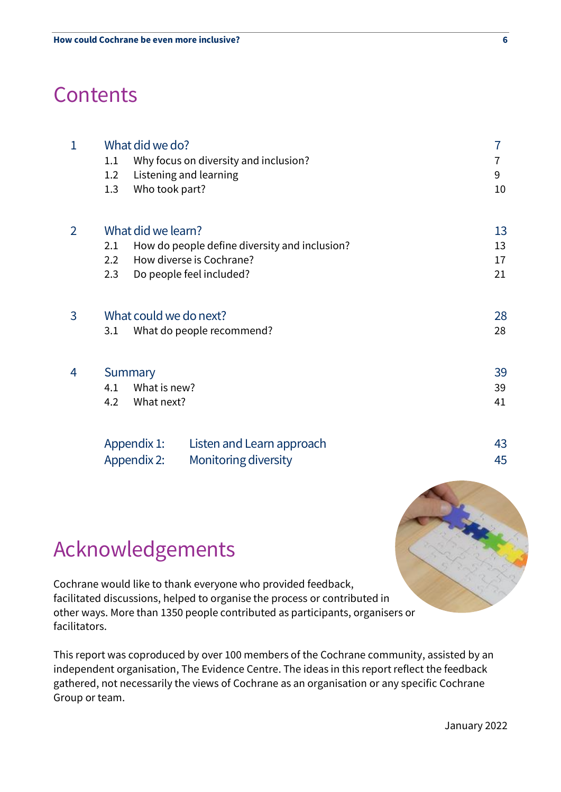# **Contents**

| $\mathbf{1}$   | What did we do?<br>Why focus on diversity and inclusion?<br>1.1<br>Listening and learning<br>1.2<br>Who took part?<br>1.3                                     | 7<br>7<br>9<br>10    |
|----------------|---------------------------------------------------------------------------------------------------------------------------------------------------------------|----------------------|
| $\overline{2}$ | What did we learn?<br>How do people define diversity and inclusion?<br>2.1<br>How diverse is Cochrane?<br>$2.2\phantom{0}$<br>2.3<br>Do people feel included? | 13<br>13<br>17<br>21 |
| 3              | What could we do next?<br>What do people recommend?<br>3.1                                                                                                    | 28<br>28             |
| 4              | Summary<br>What is new?<br>4.1<br>4.2<br>What next?                                                                                                           | 39<br>39<br>41       |
|                | Appendix 1:<br>Listen and Learn approach<br>Appendix 2:<br>Monitoring diversity                                                                               | 43<br>45             |



Cochrane would like to thank everyone who provided feedback, facilitated discussions, helped to organise the process or contributed in other ways. More than 1350 people contributed as participants, organisers or facilitators.

This report was coproduced by over 100 members of the Cochrane community, assisted by an independent organisation, The Evidence Centre. The ideas in this report reflect the feedback gathered, not necessarily the views of Cochrane as an organisation or any specific Cochrane Group or team.

January 2022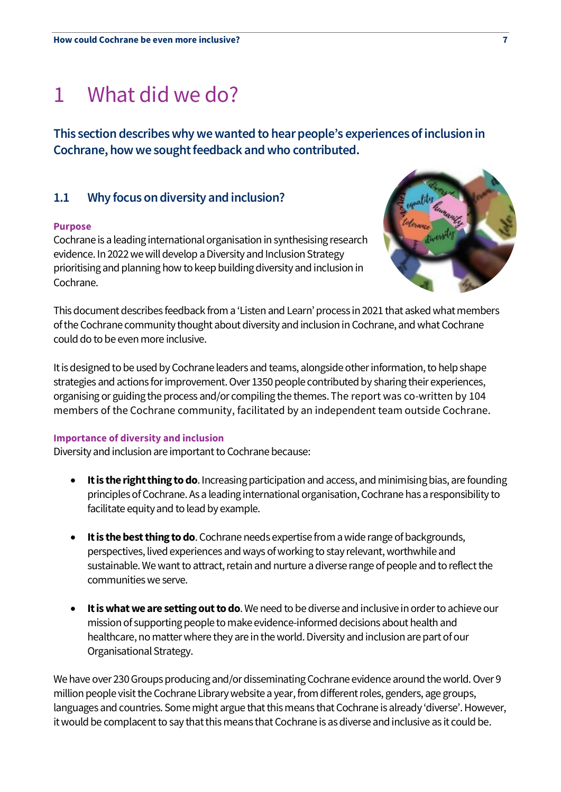# 1 What did we do?

**This section describes why we wanted to hear people's experiencesof inclusion in Cochrane, how we sought feedback and who contributed.**

# **1.1 Why focus on diversity and inclusion?**

### **Purpose**

Cochrane is a leading international organisation in synthesising research evidence. In 2022 we will develop a Diversity and Inclusion Strategy prioritising and planning how to keep building diversity and inclusion in Cochrane.



This document describes feedback from a 'Listen and Learn' process in 2021 that asked what members of the Cochrane community thought about diversity and inclusion in Cochrane, and what Cochrane could do to be even more inclusive.

It is designed to be used by Cochrane leaders and teams, alongside other information, to help shape strategies and actions for improvement. Over 1350 people contributed by sharing their experiences, organising or guiding the process and/or compiling the themes.The report was co-written by 104 members of the Cochrane community, facilitated by an independent team outside Cochrane.

### **Importance of diversity and inclusion**

Diversity and inclusion areimportant to Cochrane because:

- **It is the right thing to do**.Increasing participation and access, and minimising bias, are founding principles of Cochrane. As a leading international organisation, Cochrane has a responsibility to facilitate equity and to lead by example.
- **It is the best thing to do**. Cochrane needsexpertise from a wide range of backgrounds, perspectives, lived experiences and ways of working to stay relevant, worthwhile and sustainable. We want to attract, retain and nurture a diverse range of people and to reflect the communities we serve.
- **It is what we are setting out to do**. We need to be diverse and inclusive in order to achieve our mission of supporting people to make evidence-informed decisions about health and healthcare, no matter where they are in the world. Diversity and inclusion are part of our Organisational Strategy.

We have over 230 Groups producing and/or disseminating Cochrane evidence around the world. Over 9 million people visit the Cochrane Library website a year, from different roles, genders, age groups, languages and countries. Some might argue that this means that Cochrane is already 'diverse'. However, it would be complacent to say that this means that Cochrane is as diverse and inclusive as it could be.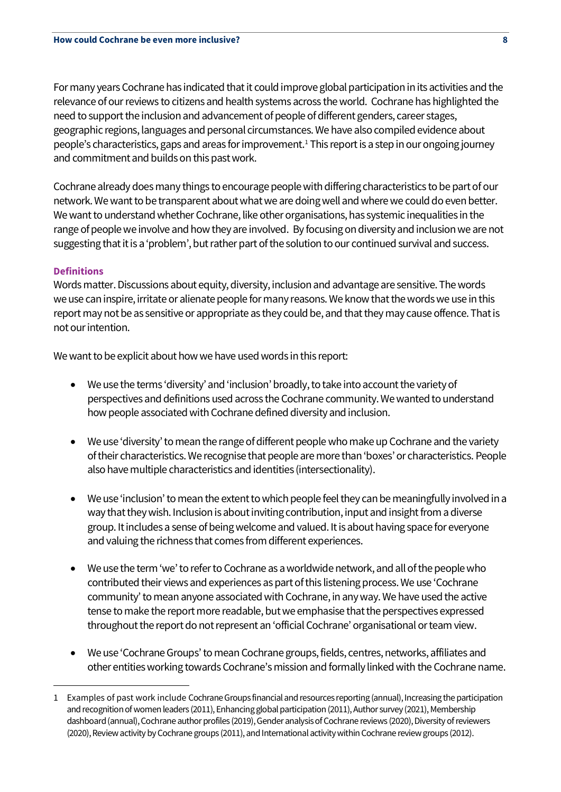For many years Cochrane has indicated that it could improve global participation in its activities and the relevance of our reviews to citizens and health systems across the world. Cochrane has highlighted the need to support the inclusion and advancement of people of different genders, career stages, geographic regions, languages and personal circumstances. We have also compiled evidence about people's characteristics, gaps and areas for improvement.<sup>1</sup> This report is a step in our ongoing journey and commitment and builds on this past work.

Cochrane already does many things to encourage people with differing characteristics to be part of our network. We want to be transparent about what we are doing well and where we could do even better. We want to understand whether Cochrane, like other organisations, has systemic inequalities in the range of people we involve and how they are involved. By focusing on diversity and inclusion we are not suggesting that it is a 'problem', but rather part of the solution to our continued survival and success.

# **Definitions**

Words matter. Discussions about equity, diversity, inclusion and advantage are sensitive. The words we use can inspire, irritate or alienate people for many reasons. We know that the words we use in this report may not be as sensitive or appropriate as they could be, and that they may cause offence. That is not our intention.

We want to be explicit about how we have used words in this report:

- We use the terms 'diversity' and 'inclusion' broadly, to take into account the variety of perspectives and definitions used across the Cochrane community. We wanted to understand how people associated with Cochrane defined diversity and inclusion.
- We use 'diversity'to mean the range of different people who make up Cochrane and the variety of their characteristics. We recognise that people are more than 'boxes' or characteristics. People also have multiple characteristics and identities (intersectionality).
- We use 'inclusion'to mean the extent to which people feel they can be meaningfully involved in a way that they wish.Inclusion is about inviting contribution, input and insight from a diverse group. It includes a sense of being welcome and valued. Itis about having space for everyone and valuing the richness that comes from different experiences.
- We use the term 'we' to refer to Cochrane as a worldwide network, and all of the people who contributed their views and experiences as part of this listening process. We use 'Cochrane community' to mean anyone associated with Cochrane, in any way. We have used the active tense to make the report more readable, but we emphasise that the perspectives expressed throughout the report do not represent an 'official Cochrane' organisational or team view.
- We use 'Cochrane Groups' to mean Cochrane groups, fields, centres, networks, affiliates and other entities working towards Cochrane's mission and formally linked with the Cochrane name.

<sup>1</sup> Examples of past work include Cochrane Groups financial and resources reporting (annual), Increasing the participation and recognition of women leaders (2011), Enhancing global participation (2011), Author survey (2021), Membership dashboard (annual), Cochrane author profiles (2019), Gender analysis of Cochrane reviews (2020), Diversity of reviewers (2020), Review activity by Cochrane groups (2011), and International activity within Cochrane review groups (2012).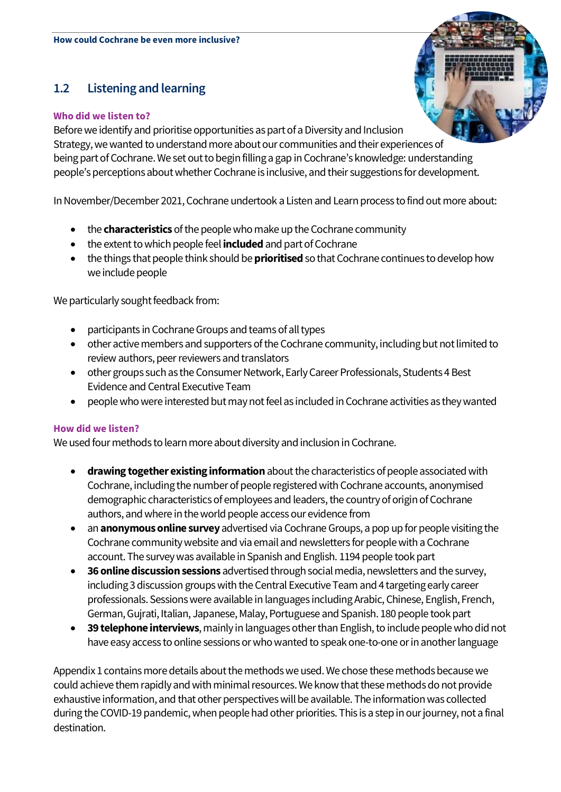# **1.2 Listening and learning**

# **Who did we listen to?**

Before we identify and prioritise opportunities as part of a Diversity and Inclusion Strategy, we wanted to understand more about our communities and their experiencesof being part of Cochrane.We set out to begin fillinga gap in Cochrane's knowledge: understanding people's perceptions about whether Cochrane is inclusive, and their suggestions for development.

In November/December 2021, Cochrane undertook a Listen and Learn process to find out more about:

- the **characteristics** of the people who make up the Cochrane community
- the extent to which people feel *included* and part of Cochrane
- the things that people think should be **prioritised**so that Cochrane continues to develop how we include people

We particularly sought feedback from:

- participants in Cochrane Groups and teams of all types
- other active members and supporters of the Cochrane community, including but not limited to review authors, peer reviewers and translators
- other groups such as the Consumer Network, Early Career Professionals, Students 4 Best Evidence and Central Executive Team
- people who were interested but may not feel as included in Cochrane activities as they wanted

# **How did we listen?**

We used four methods to learn more about diversity and inclusion in Cochrane.

- **drawing together existing information**about the characteristics of people associated with Cochrane, including the number of people registered with Cochrane accounts, anonymised demographic characteristics of employees and leaders, the country of origin of Cochrane authors, and where in the world people access our evidence from
- an **anonymous online survey**advertised via Cochrane Groups, a pop up for people visiting the Cochrane community website and via email and newsletters for people with a Cochrane account. The survey was available in Spanish and English. 1194 people took part
- **36 online discussion sessions** advertised through social media, newsletters and the survey, including 3 discussion groups with the Central Executive Team and 4 targeting early career professionals. Sessions were available in languages including Arabic, Chinese, English, French, German, Gujrati, Italian, Japanese, Malay, Portuguese and Spanish. 180 people took part
- **39 telephone interviews**, mainly in languages other than English, to include people who did not have easy access to online sessions or who wanted to speak one-to-one or in another language

Appendix 1 contains more details about the methods we used. We chose these methods because we could achieve them rapidly and with minimal resources. We know that these methods do not provide exhaustive information, and that other perspectives will be available. The information was collected during the COVID-19 pandemic, when people had other priorities. This is a step in our journey, not a final destination.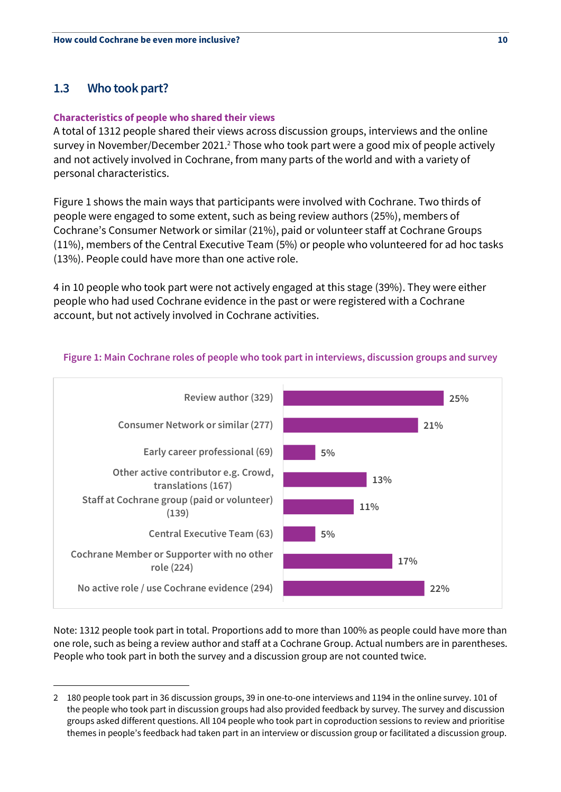# **1.3 Who took part?**

# **Characteristics of people who shared their views**

A total of 1312 people shared their views across discussion groups, interviews and the online survey in November/December 2021.<sup>2</sup> Those who took part were a good mix of people actively and not actively involved in Cochrane, from many parts of the world and with a variety of personal characteristics.

Figure 1 shows the main ways that participants were involved with Cochrane. Two thirds of people were engaged to some extent, such as being review authors (25%), members of Cochrane's Consumer Network or similar (21%), paid or volunteer staff at Cochrane Groups (11%), members of the Central Executive Team (5%) or people who volunteered for ad hoc tasks (13%). People could have more than one active role.

4 in 10 people who took part were not actively engaged at this stage (39%). They were either people who had used Cochrane evidence in the past or were registered with a Cochrane account, but not actively involved in Cochrane activities.



# **Figure 1: Main Cochrane roles of people who took part in interviews, discussion groups and survey**

Note: 1312 people took part in total. Proportions add to more than 100% as people could have more than one role, such as being a review author and staff at a Cochrane Group. Actual numbers are in parentheses. People who took part in both the survey and a discussion group are not counted twice.

<sup>2</sup> 180 people took part in 36 discussion groups, 39 in one-to-one interviews and 1194 in the online survey. 101 of the people who took part in discussion groups had also provided feedback by survey. The survey and discussion groups asked different questions. All 104 people who took part in coproduction sessions to review and prioritise themes in people's feedback had taken part in an interview or discussion group or facilitated a discussion group.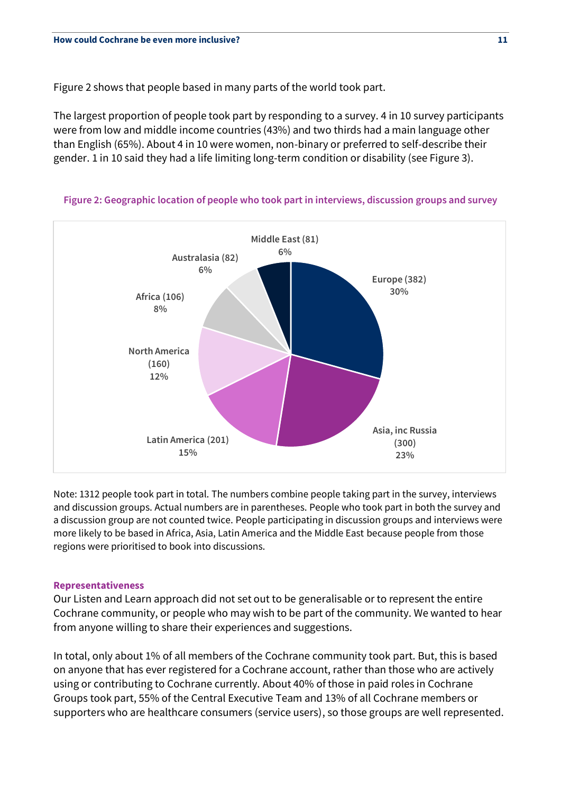Figure 2 shows that people based in many parts of the world took part.

The largest proportion of people took part by responding to a survey. 4 in 10 survey participants were from low and middle income countries (43%) and two thirds had a main language other than English (65%). About 4 in 10 were women, non-binary or preferred to self-describe their gender. 1 in 10 said they had a life limiting long-term condition or disability (see Figure 3).



**Figure 2: Geographic location of people who took part in interviews, discussion groups and survey**

Note: 1312 people took part in total. The numbers combine people taking part in the survey, interviews and discussion groups. Actual numbers are in parentheses. People who took part in both the survey and a discussion group are not counted twice. People participating in discussion groups and interviews were more likely to be based in Africa, Asia, Latin America and the Middle East because people from those regions were prioritised to book into discussions.

### **Representativeness**

Our Listen and Learn approach did not set out to be generalisable or to represent the entire Cochrane community, or people who may wish to be part of the community. We wanted to hear from anyone willing to share their experiences and suggestions.

In total, only about 1% of all members of the Cochrane community took part. But, this is based on anyone that has ever registered for a Cochrane account, rather than those who are actively using or contributing to Cochrane currently. About 40% of those in paid roles in Cochrane Groups took part, 55% of the Central Executive Team and 13% of all Cochrane members or supporters who are healthcare consumers (service users), so those groups are well represented.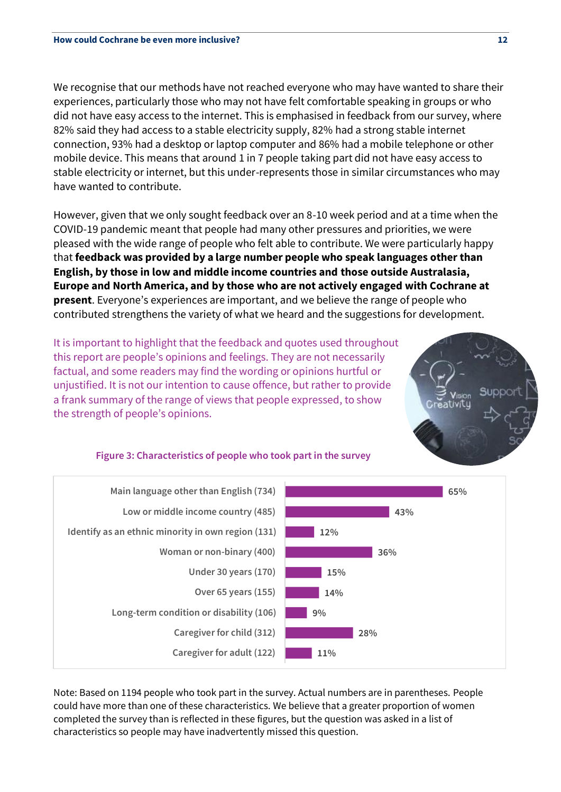We recognise that our methods have not reached everyone who may have wanted to share their experiences, particularly those who may not have felt comfortable speaking in groups or who did not have easy access to the internet. This is emphasised in feedback from our survey, where 82% said they had access to a stable electricity supply, 82% had a strong stable internet connection, 93% had a desktop or laptop computer and 86% had a mobile telephone or other mobile device. This means that around 1 in 7 people taking part did not have easy access to stable electricity or internet, but this under-represents those in similar circumstances who may have wanted to contribute.

However, given that we only sought feedback over an 8-10 week period and at a time when the COVID-19 pandemic meant that people had many other pressures and priorities, we were pleased with the wide range of people who felt able to contribute. We were particularly happy that **feedback was provided by a large number people who speak languages other than English, by those in low and middle income countries and those outside Australasia, Europe and North America, and by those who are not actively engaged with Cochrane at present**. Everyone's experiences are important, and we believe the range of people who contributed strengthens the variety of what we heard and the suggestions for development.

It is important to highlight that the feedback and quotes used throughout this report are people's opinions and feelings. They are not necessarily factual, and some readers may find the wording or opinions hurtful or unjustified. It is not our intention to cause offence, but rather to provide a frank summary of the range of views that people expressed, to show the strength of people's opinions.



# **Figure 3: Characteristics of people who took part in the survey**



Note: Based on 1194 people who took part in the survey. Actual numbers are in parentheses. People could have more than one of these characteristics. We believe that a greater proportion of women completed the survey than is reflected in these figures, but the question was asked in a list of characteristics so people may have inadvertently missed this question.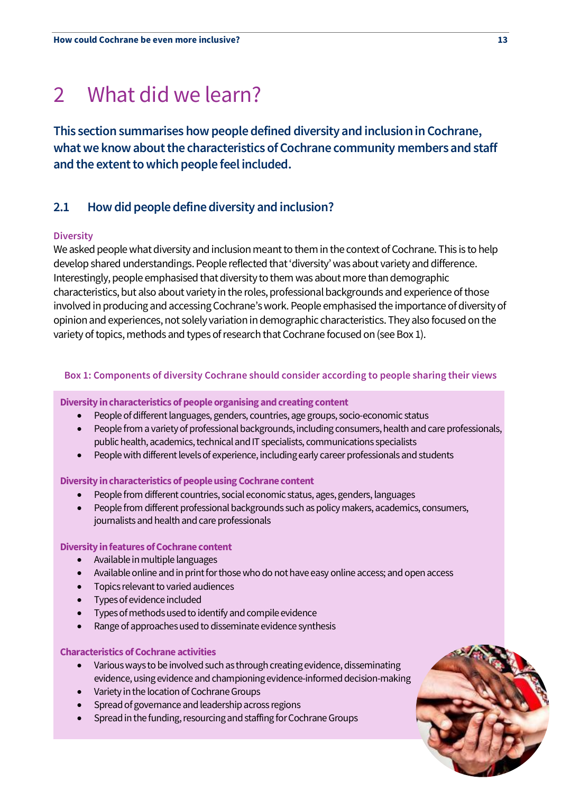# 2 What did we learn?

**This section summarises how people defined diversity and inclusion in Cochrane, what we know about the characteristics of Cochrane community members and staff and the extent to which people feel included.**

# **2.1 How did people define diversity and inclusion?**

# **Diversity**

We asked people what diversity and inclusion meant to them in the context of Cochrane. This is to help develop shared understandings. People reflected that 'diversity' was about variety and difference. Interestingly, people emphasised that diversity to them was about more than demographic characteristics, but also about variety in the roles, professional backgrounds and experience of those involved in producing and accessing Cochrane's work. People emphasised the importance of diversity of opinion and experiences, not solely variation in demographic characteristics. They also focused on the variety of topics, methods and types of research that Cochrane focused on (see Box 1).

# **Box 1: Components of diversity Cochrane should consider according to people sharing their views**

### **Diversity in characteristics of people organising and creating content**

- People of different languages, genders, countries, age groups, socio-economic status
- People from a variety of professional backgrounds, including consumers, health and care professionals, public health, academics, technical and IT specialists, communications specialists
- People with different levels of experience, including early career professionals and students

### **Diversity in characteristics of people using Cochrane content**

- People from different countries, social economic status, ages, genders, languages
- People from different professional backgrounds such as policy makers, academics, consumers, journalists and health and care professionals

### **Diversity in features of Cochrane content**

- Available in multiple languages
- Available online and in print for those who do not have easy online access; and open access
- Topics relevant to varied audiences
- Types of evidence included
- Types of methods used to identify and compile evidence
- Range of approaches used to disseminate evidence synthesis

### **Characteristics of Cochrane activities**

- Various ways to be involved such as through creating evidence, disseminating evidence, using evidence and championing evidence-informed decision-making
- Variety in the location of Cochrane Groups
- Spread of governance and leadership across regions
- Spread in the funding, resourcing and staffing for Cochrane Groups

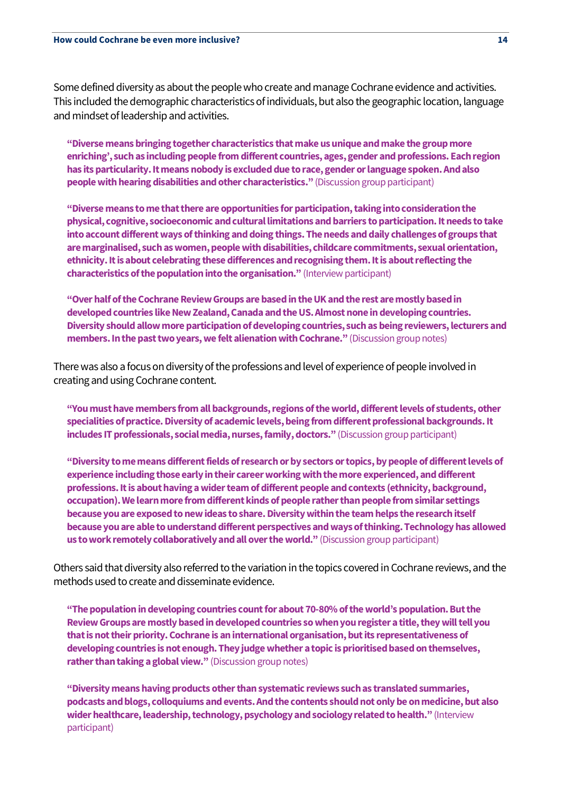Some defined diversity as about the people who create and manage Cochrane evidence and activities. This included the demographic characteristics of individuals, but also the geographic location, language and mindset of leadership and activities.

**"Diverse means bringingtogether characteristics that make us unique and make the group more enriching', such as including people from different countries, ages, gender and professions. Each region has its particularity. It means nobody is excluded due to race, gender or language spoken.And also people with hearing disabilities and other characteristics."** (Discussion group participant)

**"Diverse means to me that there are opportunities for participation,taking into consideration the physical, cognitive, socioeconomic and cultural limitations and barriers to participation. It needs to take into account different ways of thinking and doing things. The needs and daily challenges of groups that are marginalised, such as women, people with disabilities, childcare commitments, sexual orientation, ethnicity. It is about celebrating these differences and recognising them. It is about reflecting the characteristics of the population into the organisation."** (Interview participant)

**"Over half of the Cochrane Review Groups are based in the UK and the rest are mostly based in developed countries like New Zealand, Canada and the US. Almost none indeveloping countries. Diversity should allow more participation of developing countries, such as being reviewers, lecturers and members. In the past two years, we felt alienation with Cochrane."** (Discussion group notes)

There was also a focus on diversity of the professions and level of experience of people involved in creating and using Cochrane content.

**"You must have members from all backgrounds, regions of the world, different levels of students, other specialities of practice. Diversity of academic levels, being from different professional backgrounds.It includes IT professionals, social media, nurses, family, doctors."** (Discussion group participant)

**"Diversity to me means different fields of research or by sectors or topics, by people of different levels of experience including those early in their career working with the more experienced, and different professions. It is about having a wider team of different people and contexts (ethnicity, background, occupation). We learn more from different kinds of people rather than people from similar settings because you are exposed to new ideas to share. Diversity within the team helps the research itself because you are able to understand different perspectives and ways of thinking. Technology has allowed us to work remotelycollaboratively and all over the world."** (Discussion group participant)

Others said that diversity also referred to the variation in the topics covered in Cochrane reviews, and the methods used to create and disseminate evidence.

**"The population in developing countries count for about 70-80% of the world's population. But the Review Groups are mostly based in developed countries so when you register a title, they will tell you that is not their priority. Cochrane is an international organisation, but its representativeness of developing countries is not enough.They judge whether a topic is prioritised based on themselves, rather than taking a global view."** (Discussion group notes)

**"Diversity means having products other than systematic reviews such as translated summaries, podcasts and blogs, colloquiums and events. And the contents should not only be on medicine, but also wider healthcare, leadership, technology, psychology and sociologyrelated to health."** (Interview participant)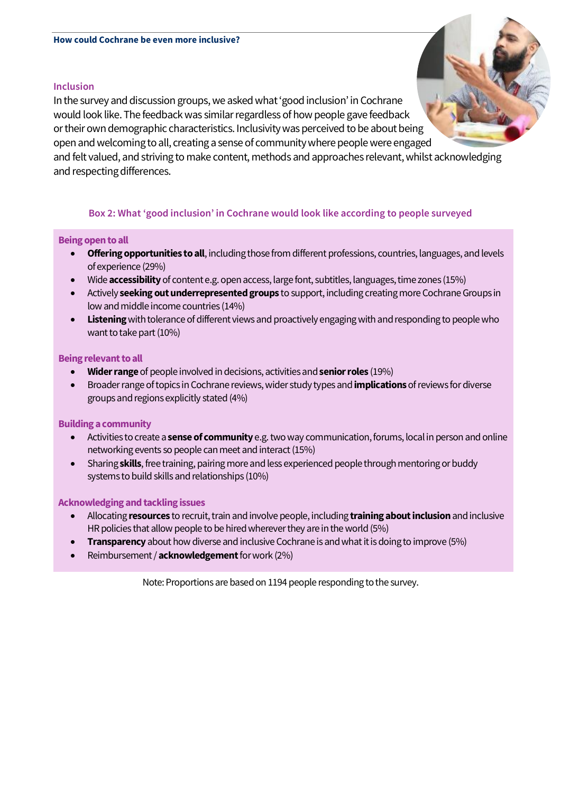### **Inclusion**

In the survey and discussion groups, we asked what 'good inclusion' in Cochrane would look like.The feedback was similar regardless of how people gave feedback or their own demographic characteristics. Inclusivity was perceived to be about being open and welcoming to all, creating a sense of community where people were engaged and felt valued, and striving to make content, methods and approaches relevant, whilst acknowledging and respecting differences.

# **Box 2: What 'good inclusion' in Cochrane would look like according to people surveyed**

### **Being open to all**

- **Offering opportunities to all**, including those from different professions, countries, languages, and levels of experience (29%)
- Wide **accessibility**of content e.g. open access, large font, subtitles, languages, time zones (15%)
- Actively **seeking out underrepresented groups** to support, including creating more Cochrane Groups in low and middle income countries (14%)
- **Listening** with tolerance of different views and proactively engaging with and responding to people who want to take part (10%)

### **Being relevant to all**

- **Widerrange** of people involved in decisions, activities and **senior roles** (19%)
- Broader range of topicsin Cochrane reviews, wider study types and **implications** of reviews for diverse groups and regions explicitly stated(4%)

# **Building a community**

- Activitiesto create a **sense of community** e.g. two way communication, forums, local in person and online networking events so people can meet and interact (15%)
- Sharing **skills**, free training, pairing more and less experienced people through mentoring or buddy systemsto build skills and relationships (10%)

### **Acknowledging and tackling issues**

- Allocating **resources** to recruit, train andinvolve people, including **training about inclusion** and inclusive HR policies that allow people to be hired wherever they are in the world (5%)
- **Transparency** about how diverse and inclusive Cochrane is and what it is doing to improve (5%)
- Reimbursement / **acknowledgement**for work (2%)

Note: Proportions are based on 1194 people responding to the survey.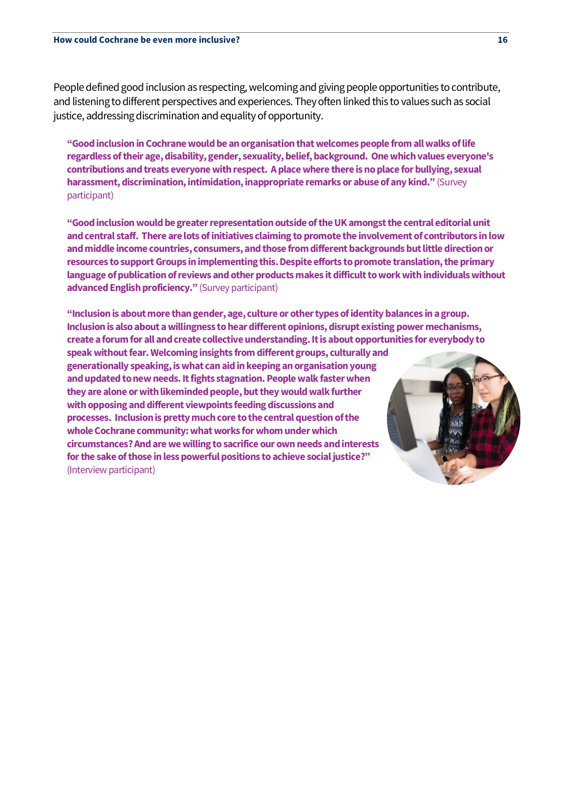People defined good inclusion as respecting, welcoming and giving people opportunities to contribute, and listening to different perspectives and experiences. They often linked this to values such as social justice, addressing discrimination and equality of opportunity.

**"Good inclusion in Cochrane would be an organisation that welcomes people from all walks of life regardless of their age, disability, gender, sexuality, belief, background. One which values everyone's contributions and treats everyone with respect. A place where there is no place for bullying, sexual harassment, discrimination, intimidation, inappropriate remarks or abuse of any kind."** (Survey participant)

**"Good inclusion would be greater representation outside of the UK amongst the central editorial unit and central staff. There are lots of initiatives claiming to promote the involvement of contributors in low and middle income countries, consumers, and those from different backgrounds but little direction or resources to support Groups in implementing this. Despite efforts to promote translation, the primary language of publication of reviews and other products makes it difficult to work with individuals without advanced English proficiency."** (Survey participant)

**"Inclusion is about more than gender, age, culture or other types of identity balances in a group. Inclusion is also about a willingness to hear different opinions, disrupt existing power mechanisms, create a forum for all and create collective understanding. It is about opportunities for everybody to** 

**speak without fear. Welcoming insights from different groups, culturally and generationally speaking,is what can aid in keeping an organisation young and updated to new needs. It fights stagnation.People walk faster when they are alone or with likeminded people, but they would walk further with opposing and different viewpoints feeding discussions and processes. Inclusion is pretty much core to the central question of the whole Cochrane community: what works for whom under which circumstances? And are we willing to sacrifice our own needs and interests for the sake of those in less powerful positions to achieve social justice?"** (Interview participant)

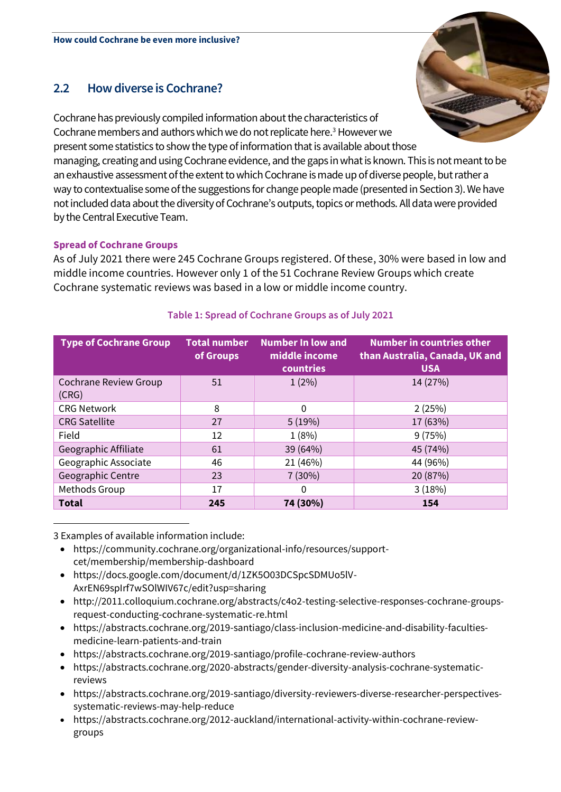# **2.2 How diverse is Cochrane?**

Cochrane has previously compiled informationabout the characteristics of Cochrane members and authorswhich we do not replicate here.<sup>3</sup> However we present some statistics to show the type of information that is available about those managing, creating and using Cochrane evidence, and the gaps in what is known. This is not meant to be an exhaustive assessment of the extent to which Cochrane is made up of diverse people, but rather a way to contextualise some of the suggestions for change people made (presented in Section 3). We have not included data about the diversity of Cochrane's outputs, topics or methods. All data were provided by the Central Executive Team.

# **Spread of Cochrane Groups**

As of July 2021 there were 245 Cochrane Groups registered. Of these, 30% were based in low and middle income countries. However only 1 of the 51 Cochrane Review Groups which create Cochrane systematic reviews was based in a low or middle income country.

| <b>Type of Cochrane Group</b>         | <b>Total number</b><br>of Groups | <b>Number In low and</b><br>middle income<br>countries | <b>Number in countries other</b><br>than Australia, Canada, UK and<br><b>USA</b> |
|---------------------------------------|----------------------------------|--------------------------------------------------------|----------------------------------------------------------------------------------|
| <b>Cochrane Review Group</b><br>(CRG) | 51                               | $1(2\%)$                                               | 14 (27%)                                                                         |
| <b>CRG Network</b>                    | 8                                | 0                                                      | 2(25%)                                                                           |
| <b>CRG Satellite</b>                  | 27                               | 5(19%)                                                 | 17 (63%)                                                                         |
| Field                                 | 12                               | 1(8%)                                                  | 9(75%)                                                                           |
| Geographic Affiliate                  | 61                               | 39 (64%)                                               | 45 (74%)                                                                         |
| Geographic Associate                  | 46                               | 21 (46%)                                               | 44 (96%)                                                                         |
| Geographic Centre                     | 23                               | 7(30%)                                                 | 20 (87%)                                                                         |
| Methods Group                         | 17                               | 0                                                      | 3(18%)                                                                           |
| <b>Total</b>                          | 245                              | 74 (30%)                                               | 154                                                                              |

# **Table 1: Spread of Cochrane Groups as of July 2021**

3 Examples of available information include:

- https://community.cochrane.org/organizational-info/resources/supportcet/membership/membership-dashboard
- https://docs.google.com/document/d/1ZK5O03DCSpcSDMUo5lV-AxrEN69spIrf7wSOlWIV67c/edit?usp=sharing
- http://2011.colloquium.cochrane.org/abstracts/c4o2-testing-selective-responses-cochrane-groupsrequest-conducting-cochrane-systematic-re.html
- https://abstracts.cochrane.org/2019-santiago/class-inclusion-medicine-and-disability-facultiesmedicine-learn-patients-and-train
- https://abstracts.cochrane.org/2019-santiago/profile-cochrane-review-authors
- https://abstracts.cochrane.org/2020-abstracts/gender-diversity-analysis-cochrane-systematicreviews
- https://abstracts.cochrane.org/2019-santiago/diversity-reviewers-diverse-researcher-perspectivessystematic-reviews-may-help-reduce
- https://abstracts.cochrane.org/2012-auckland/international-activity-within-cochrane-reviewgroups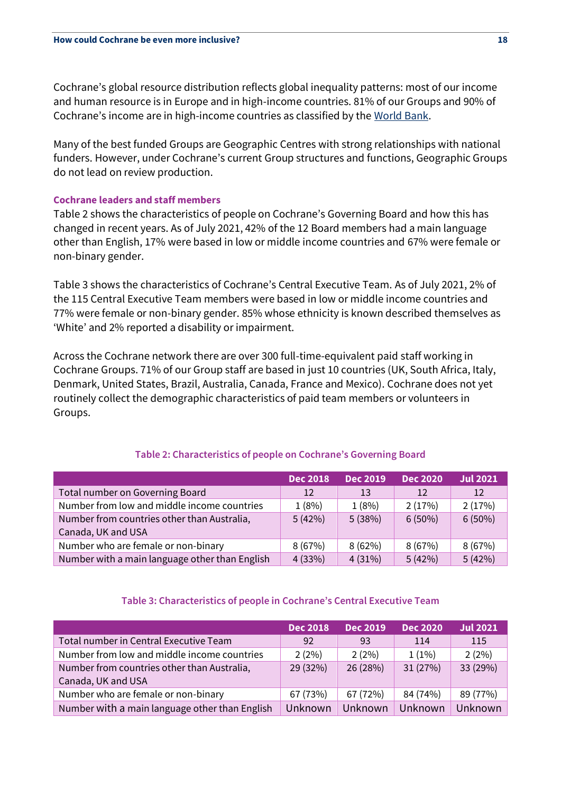Cochrane's global resource distribution reflects global inequality patterns: most of our income and human resource is in Europe and in high-income countries. 81% of our Groups and 90% of Cochrane's income are in high-income countries as classified by the [World Bank.](https://datahelpdesk.worldbank.org/knowledgebase/articles/906519-world-bank-country-and-lending-groups)

Many of the best funded Groups are Geographic Centres with strong relationships with national funders. However, under Cochrane's current Group structures and functions, Geographic Groups do not lead on review production.

# **Cochrane leaders and staff members**

Table 2 shows the characteristics of people on Cochrane's Governing Board and how this has changed in recent years. As of July 2021, 42% of the 12 Board members had a main language other than English, 17% were based in low or middle income countries and 67% were female or non-binary gender.

Table 3 shows the characteristics of Cochrane's Central Executive Team. As of July 2021, 2% of the 115 Central Executive Team members were based in low or middle income countries and 77% were female or non-binary gender. 85% whose ethnicity is known described themselves as 'White' and 2% reported a disability or impairment.

Across the Cochrane network there are over 300 full-time-equivalent paid staff working in Cochrane Groups. 71% of our Group staff are based in just 10 countries (UK, South Africa, Italy, Denmark, United States, Brazil, Australia, Canada, France and Mexico). Cochrane does not yet routinely collect the demographic characteristics of paid team members or volunteers in Groups.

# **Table 2: Characteristics of people on Cochrane's Governing Board**

|                                                | <b>Dec 2018</b> | <b>Dec 2019</b> | <b>Dec 2020</b> | <b>Jul 2021</b> |
|------------------------------------------------|-----------------|-----------------|-----------------|-----------------|
| Total number on Governing Board                | 12              | 13              | 12              | 12              |
| Number from low and middle income countries    | 1(8%)           | 1(8%)           | 2(17%)          | 2(17%)          |
| Number from countries other than Australia,    | 5(42%)          | 5(38%)          | $6(50\%)$       | $6(50\%)$       |
| Canada, UK and USA                             |                 |                 |                 |                 |
| Number who are female or non-binary            | 8(67%)          | 8(62%)          | 8(67%)          | 8(67%)          |
| Number with a main language other than English | 4(33%)          | 4(31%)          | 5(42%)          | 5(42%)          |

### **Table 3: Characteristics of people in Cochrane's Central Executive Team**

|                                                | <b>Dec 2018</b> | <b>Dec 2019</b> | <b>Dec 2020</b> | <b>Jul 2021</b> |
|------------------------------------------------|-----------------|-----------------|-----------------|-----------------|
| Total number in Central Executive Team         | 92              | 93              | 114             | 115             |
| Number from low and middle income countries    | 2(2%)           | 2(2%)           | $1(1\%)$        | 2(2%)           |
| Number from countries other than Australia,    | 29 (32%)        | 26 (28%)        | 31 (27%)        | 33 (29%)        |
| Canada, UK and USA                             |                 |                 |                 |                 |
| Number who are female or non-binary            | 67 (73%)        | 67 (72%)        | 84 (74%)        | 89 (77%)        |
| Number with a main language other than English | Unknown         | Unknown         | Unknown         | Unknown         |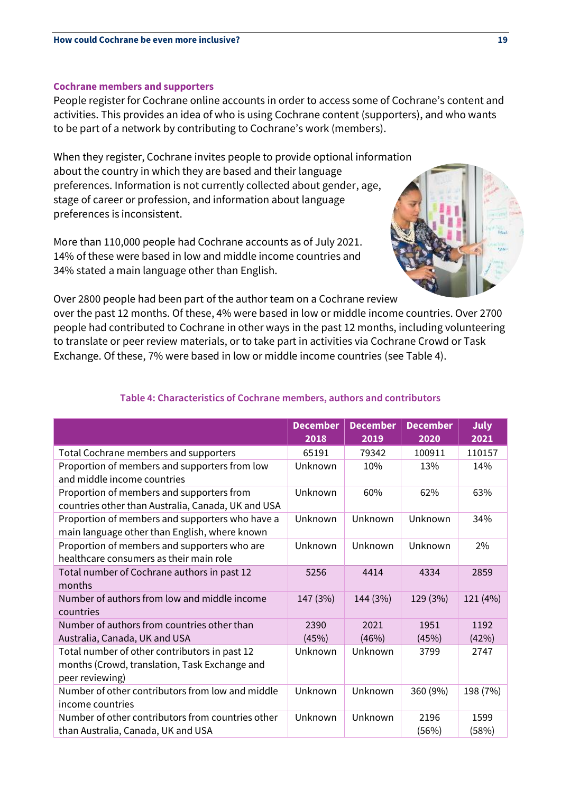#### **Cochrane members and supporters**

People register for Cochrane online accounts in order to access some of Cochrane's content and activities. This provides an idea of who is using Cochrane content (supporters), and who wants to be part of a network by contributing to Cochrane's work (members).

When they register, Cochrane invites people to provide optional information about the country in which they are based and their language preferences. Information is not currently collected about gender, age, stage of career or profession, and information about language preferences is inconsistent.

More than 110,000 people had Cochrane accounts as of July 2021. 14% of these were based in low and middle income countries and 34% stated a main language other than English.



Over 2800 people had been part of the author team on a Cochrane review

over the past 12 months. Of these, 4% were based in low or middle income countries. Over 2700 people had contributed to Cochrane in other ways in the past 12 months, including volunteering to translate or peer review materials, or to take part in activities via Cochrane Crowd or Task Exchange. Of these, 7% were based in low or middle income countries (see Table 4).

|                                                                                                                   | <b>December</b><br>2018 | <b>December</b><br>2019 | <b>December</b><br>2020 | <b>July</b><br>2021 |
|-------------------------------------------------------------------------------------------------------------------|-------------------------|-------------------------|-------------------------|---------------------|
| Total Cochrane members and supporters                                                                             | 65191                   | 79342                   | 100911                  | 110157              |
| Proportion of members and supporters from low<br>and middle income countries                                      | Unknown                 | 10%                     | 13%                     | 14%                 |
| Proportion of members and supporters from<br>countries other than Australia, Canada, UK and USA                   | Unknown                 | 60%                     | 62%                     | 63%                 |
| Proportion of members and supporters who have a<br>main language other than English, where known                  | Unknown                 | Unknown                 | Unknown                 | 34%                 |
| Proportion of members and supporters who are<br>healthcare consumers as their main role                           | Unknown                 | Unknown                 | Unknown                 | 2%                  |
| Total number of Cochrane authors in past 12<br>months                                                             | 5256                    | 4414                    | 4334                    | 2859                |
| Number of authors from low and middle income<br>countries                                                         | 147 (3%)                | 144 (3%)                | 129 (3%)                | 121 (4%)            |
| Number of authors from countries other than<br>Australia, Canada, UK and USA                                      | 2390<br>(45%)           | 2021<br>(46%)           | 1951<br>(45%)           | 1192<br>(42%)       |
| Total number of other contributors in past 12<br>months (Crowd, translation, Task Exchange and<br>peer reviewing) | Unknown                 | Unknown                 | 3799                    | 2747                |
| Number of other contributors from low and middle<br>income countries                                              | Unknown                 | Unknown                 | 360 (9%)                | 198 (7%)            |
| Number of other contributors from countries other<br>than Australia, Canada, UK and USA                           | Unknown                 | Unknown                 | 2196<br>(56%)           | 1599<br>(58%)       |

# **Table 4: Characteristics of Cochrane members, authors and contributors**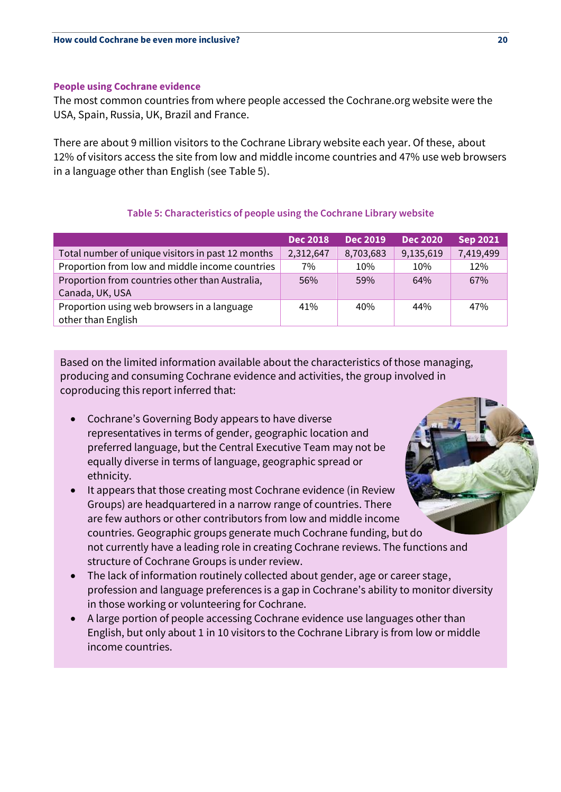### **People using Cochrane evidence**

The most common countries from where people accessed the Cochrane.org website were the USA, Spain, Russia, UK, Brazil and France.

There are about 9 million visitors to the Cochrane Library website each year. Of these, about 12% of visitors access the site from low and middle income countries and 47% use web browsers in a language other than English (see Table 5).

# **Table 5: Characteristics of people using the Cochrane Library website**

|                                                   | <b>Dec 2018</b> | <b>Dec 2019</b> | <b>Dec 2020</b> | <b>Sep 2021</b> |
|---------------------------------------------------|-----------------|-----------------|-----------------|-----------------|
| Total number of unique visitors in past 12 months | 2,312,647       | 8,703,683       | 9,135,619       | 7,419,499       |
| Proportion from low and middle income countries   | 7%              | 10%             | 10%             | 12%             |
| Proportion from countries other than Australia,   | 56%             | 59%             | 64%             | 67%             |
| Canada, UK, USA                                   |                 |                 |                 |                 |
| Proportion using web browsers in a language       | 41%             | 40%             | 44%             | 47%             |
| other than English                                |                 |                 |                 |                 |

Based on the limited information available about the characteristics of those managing, producing and consuming Cochrane evidence and activities, the group involved in coproducing this report inferred that:

- Cochrane's Governing Body appears to have diverse representatives in terms of gender, geographic location and preferred language, but the Central Executive Team may not be equally diverse in terms of language, geographic spread or ethnicity.
- It appears that those creating most Cochrane evidence (in Review Groups) are headquartered in a narrow range of countries. There are few authors or other contributors from low and middle income countries. Geographic groups generate much Cochrane funding, but do not currently have a leading role in creating Cochrane reviews. The functions and structure of Cochrane Groups is under review.
- The lack of information routinely collected about gender, age or career stage, profession and language preferences is a gap in Cochrane's ability to monitor diversity in those working or volunteering for Cochrane.
- A large portion of people accessing Cochrane evidence use languages other than English, but only about 1 in 10 visitors to the Cochrane Library is from low or middle income countries.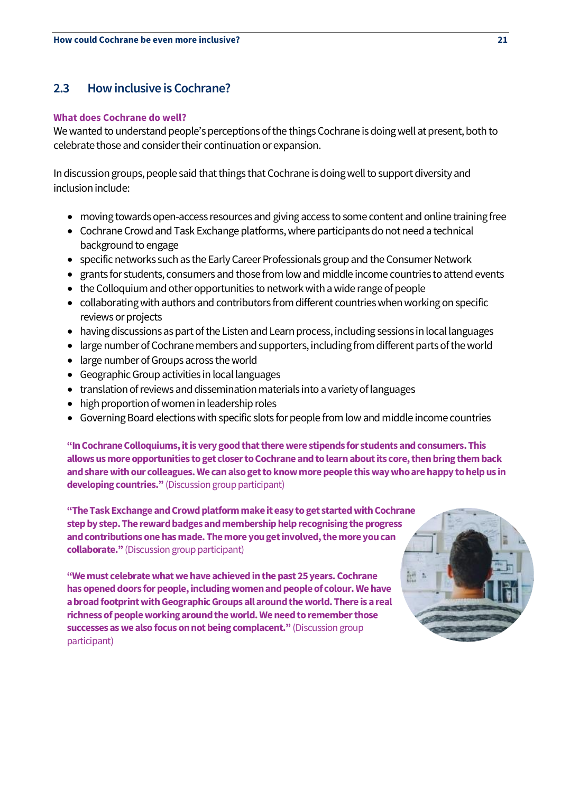# **2.3 How inclusive is Cochrane?**

#### **What does Cochrane do well?**

We wanted to understand people's perceptions of the things Cochrane is doing well at present, both to celebrate those and consider their continuation or expansion.

In discussion groups, people said that things that Cochrane is doing well to support diversity and inclusion include:

- moving towards open-access resources and giving access to some content and online training free
- Cochrane Crowd and Task Exchange platforms, where participants do not need a technical background to engage
- specific networks such as the Early Career Professionals group and the Consumer Network
- grants for students, consumers and those from low and middle income countries to attend events
- the Colloquium and other opportunities to network with a wide range of people
- collaborating with authors and contributors from different countries when working on specific reviews or projects
- having discussions as part of the Listen and Learn process, including sessions in local languages
- large number of Cochrane members and supporters, including from different parts of the world
- large number of Groups across the world
- Geographic Group activities in local languages
- translation of reviews and dissemination materials into a variety of languages
- high proportion of women in leadership roles
- Governing Board elections with specific slots for people from low and middle income countries

**"In Cochrane Colloquiums, it is very good that there were stipends for students and consumers. This allows us more opportunities to get closer to Cochrane and to learn about its core, then bring them back and share with our colleagues. We can also get to know more people thisway who are happy to help us in developing countries."** (Discussion group participant)

**"The Task Exchange and Crowd platform make it easy to get started with Cochrane step by step. The reward badges and membership help recognising the progress and contributions one has made. The more you get involved, the more you can collaborate."** (Discussion group participant)

**"We must celebrate what we have achieved in the past 25 years. Cochrane has opened doors for people, including women and people of colour. We have a broad footprint with Geographic Groups all around the world. There is a real richness of people working around the world. We need to remember those successes as we also focus on not being complacent."** (Discussion group participant)

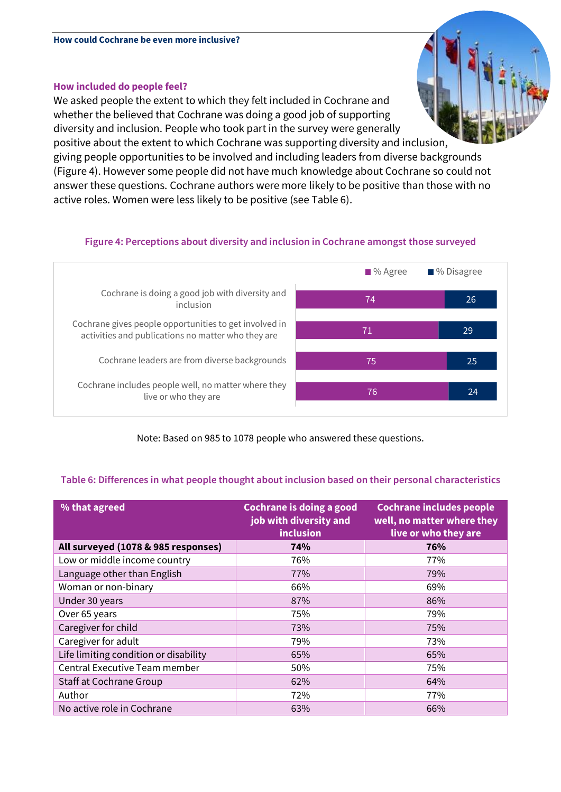# **How included do people feel?**

We asked people the extent to which they felt included in Cochrane and whether the believed that Cochrane was doing a good job of supporting diversity and inclusion. People who took part in the survey were generally positive about the extent to which Cochrane was supporting diversity and inclusion,

giving people opportunities to be involved and including leaders from diverse backgrounds (Figure 4). However some people did not have much knowledge about Cochrane so could not answer these questions. Cochrane authors were more likely to be positive than those with no active roles. Women were less likely to be positive (see Table 6).

# **Figure 4: Perceptions about diversity and inclusion in Cochrane amongst those surveyed**



# Note: Based on 985 to 1078 people who answered these questions.

# **Table 6: Differences in what people thought about inclusion based on their personal characteristics**

| % that agreed                         | Cochrane is doing a good<br>job with diversity and<br>inclusion | <b>Cochrane includes people</b><br>well, no matter where they<br>live or who they are |
|---------------------------------------|-----------------------------------------------------------------|---------------------------------------------------------------------------------------|
| All surveyed (1078 & 985 responses)   | 74%                                                             | 76%                                                                                   |
| Low or middle income country          | 76%                                                             | 77%                                                                                   |
| Language other than English           | 77%                                                             | 79%                                                                                   |
| Woman or non-binary                   | 66%                                                             | 69%                                                                                   |
| Under 30 years                        | 87%                                                             | 86%                                                                                   |
| Over 65 years                         | 75%                                                             | 79%                                                                                   |
| Caregiver for child                   | 73%                                                             | 75%                                                                                   |
| Caregiver for adult                   | 79%                                                             | 73%                                                                                   |
| Life limiting condition or disability | 65%                                                             | 65%                                                                                   |
| Central Executive Team member         | 50%                                                             | 75%                                                                                   |
| Staff at Cochrane Group               | 62%                                                             | 64%                                                                                   |
| Author                                | 72%                                                             | 77%                                                                                   |
| No active role in Cochrane            | 63%                                                             | 66%                                                                                   |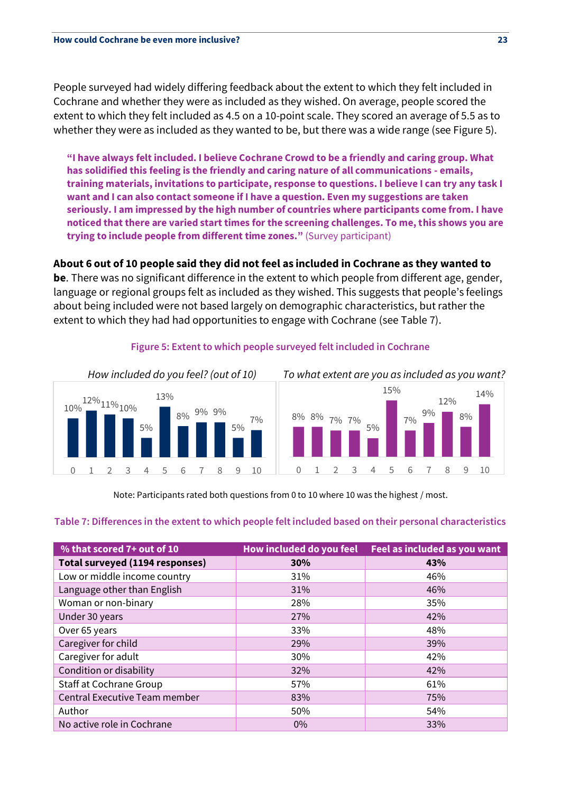People surveyed had widely differing feedback about the extent to which they felt included in Cochrane and whether they were as included as they wished. On average, people scored the extent to which they felt included as 4.5 on a 10-point scale. They scored an average of 5.5 as to whether they were as included as they wanted to be, but there was a wide range (see Figure 5).

**"I have always felt included. I believe Cochrane Crowd to be a friendly and caring group. What has solidified this feeling is the friendly and caring nature of all communications - emails, training materials, invitations to participate, response to questions. I believe I can try any task I want and I can also contact someone if I have a question. Even my suggestions are taken seriously. I am impressed by the high number of countries where participants come from. I have noticed that there are varied start times for the screening challenges. To me, this shows you are trying to include people from different time zones."** (Survey participant)

**About 6 out of 10 people said they did not feel as included in Cochrane as they wanted to** 

**be**. There was no significant difference in the extent to which people from different age, gender, language or regional groups felt as included as they wished. This suggests that people's feelings about being included were not based largely on demographic characteristics, but rather the extent to which they had had opportunities to engage with Cochrane (see Table 7).



# **Figure 5: Extent to which people surveyed felt included in Cochrane**

Note: Participants rated both questions from 0 to 10 where 10 was the highest / most.

### **Table 7: Differences in the extent to which people felt included based on their personal characteristics**

| % that scored 7+ out of 10      | How included do you feel | Feel as included as you want |
|---------------------------------|--------------------------|------------------------------|
| Total surveyed (1194 responses) | 30%                      | 43%                          |
| Low or middle income country    | 31%                      | 46%                          |
| Language other than English     | 31%                      | 46%                          |
| Woman or non-binary             | 28%                      | 35%                          |
| Under 30 years                  | 27%                      | 42%                          |
| Over 65 years                   | 33%                      | 48%                          |
| Caregiver for child             | 29%                      | 39%                          |
| Caregiver for adult             | 30%                      | 42%                          |
| Condition or disability         | 32%                      | 42%                          |
| Staff at Cochrane Group         | 57%                      | 61%                          |
| Central Executive Team member   | 83%                      | 75%                          |
| Author                          | 50%                      | 54%                          |
| No active role in Cochrane      | 0%                       | 33%                          |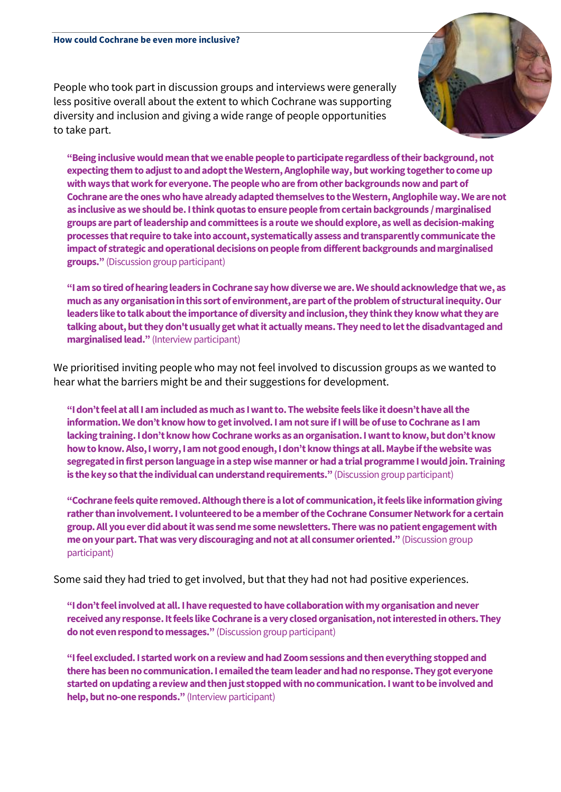People who took part in discussion groups and interviews were generally less positive overall about the extent to which Cochrane was supporting diversity and inclusion and giving a wide range of people opportunities to take part.



**"Being inclusive would mean that we enable people to participate regardless of their background, not expecting them to adjust to and adopt the Western, Anglophileway, but working together to come up with ways that work for everyone. The people who are from other backgrounds now and part of Cochrane are the ones who have already adapted themselves to the Western, Anglophile way. We are not as inclusive as we should be. I think quotas to ensure people from certain backgrounds / marginalised groups are part of leadership and committees is a route we should explore, as well as decision-making processes that require to take into account, systematically assess and transparently communicate the impact of strategic and operational decisions on people from different backgrounds and marginalised groups."** (Discussion group participant)

**"I am so tired of hearing leaders in Cochrane say how diverse we are. We should acknowledge that we, as much as any organisation in this sort of environment, are part of the problem of structural inequity. Our leaders like to talk about the importance of diversity and inclusion, they think they know what they are talking about, but they don't usually get what it actually means. They need to let the disadvantaged and marginalised lead."** (Interview participant)

We prioritised inviting people who may not feel involved to discussion groups as we wanted to hear what the barriers might be and their suggestions for development.

**"I don't feel at all I am included as much as I want to. The website feels like it doesn't have all the information. We don't know how to get involved. I am not sure if I will be of use to Cochrane as I am lacking training. I don't know how Cochrane works as an organisation. I want to know, but don't know how to know. Also, I worry, I am not good enough, I don't know things at all. Maybe if the website was segregated in first person language in a step wise manner or had atrial programme I would join. Training is the key so that the individual can understand requirements."** (Discussion group participant)

**"Cochrane feels quite removed. Although there is a lot of communication, it feels like information giving rather than involvement. I volunteered to be a member of the Cochrane Consumer Network for a certain group. All you ever did about it was send me some newsletters. There was no patient engagement with me on your part. That was very discouraging and not at all consumer oriented."** (Discussion group participant)

Some said they had tried to get involved, but that they had not had positive experiences.

**"I don't feel involved at all. I have requested to have collaboration with my organisation and never received any response. It feels like Cochrane is a very closed organisation, not interested in others. They do not even respond to messages."** (Discussion group participant)

**"I feel excluded. I started work on a review and had Zoom sessions and then everything stopped and there has been no communication. I emailed the team leader and had no response. They got everyone started on updating a review and then just stopped with no communication. I want to be involved and help, but no-one responds."** (Interview participant)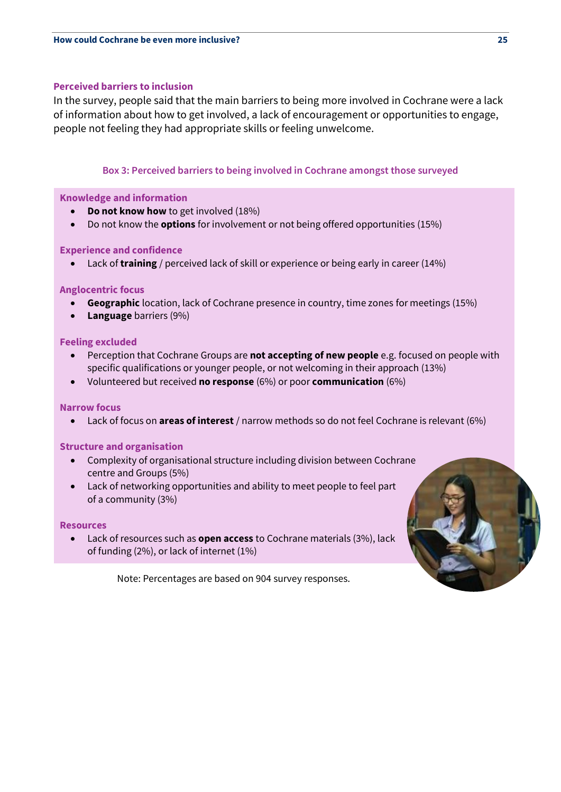#### **Perceived barriers to inclusion**

In the survey, people said that the main barriers to being more involved in Cochrane were a lack of information about how to get involved, a lack of encouragement or opportunities to engage, people not feeling they had appropriate skills or feeling unwelcome.

### **Box 3: Perceived barriers to being involved in Cochrane amongst those surveyed**

#### **Knowledge and information**

- **Do not know how** to get involved (18%)
- Do not know the **options** for involvement or not being offered opportunities (15%)

#### **Experience and confidence**

• Lack of **training** / perceived lack of skill or experience or being early in career (14%)

### **Anglocentric focus**

- **Geographic** location, lack of Cochrane presence in country, time zones for meetings (15%)
- **Language** barriers (9%)

### **Feeling excluded**

- Perception that Cochrane Groups are **not accepting of new people** e.g. focused on people with specific qualifications or younger people, or not welcoming in their approach (13%)
- Volunteered but received **no response** (6%) or poor **communication** (6%)

### **Narrow focus**

• Lack of focus on **areas of interest** / narrow methods so do not feel Cochrane is relevant (6%)

### **Structure and organisation**

- Complexity of organisational structure including division between Cochrane centre and Groups (5%)
- Lack of networking opportunities and ability to meet people to feel part of a community (3%)

#### **Resources**

• Lack of resources such as **open access** to Cochrane materials (3%), lack of funding (2%), or lack of internet (1%)

Note: Percentages are based on 904 survey responses.

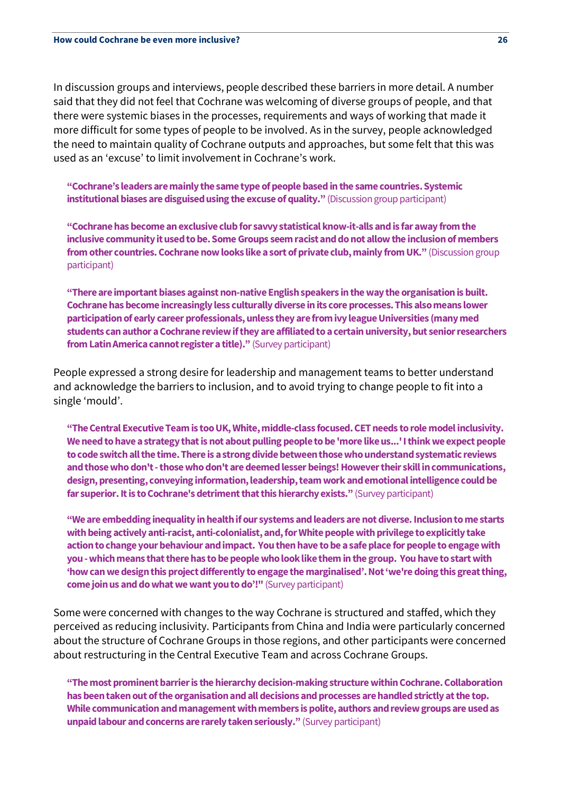In discussion groups and interviews, people described these barriers in more detail. A number said that they did not feel that Cochrane was welcoming of diverse groups of people, and that there were systemic biases in the processes, requirements and ways of working that made it more difficult for some types of people to be involved. As in the survey, people acknowledged the need to maintain quality of Cochrane outputs and approaches, but some felt that this was used as an 'excuse' to limit involvement in Cochrane's work.

**"Cochrane's leaders are mainly the same type of people based in the same countries. Systemic institutional biases are disguised using the excuse of quality."** (Discussion group participant)

**"Cochrane has become an exclusive club for savvy statistical know-it-alls and is far away from the inclusive community it used to be. Some Groups seem racist and do not allow the inclusion of members from other countries. Cochrane now looks like a sort of private club, mainly from UK."** (Discussion group participant)

**"There are important biases against non-native English speakers in the way the organisation is built. Cochrane has become increasingly less culturally diverse in its core processes. This also means lower participation of early career professionals, unless they are from ivyleague Universities (many med students can author a Cochrane review if they are affiliated to a certain university, but senior researchers from Latin America cannot register a title)."** (Survey participant)

People expressed a strong desire for leadership and management teams to better understand and acknowledge the barriers to inclusion, and to avoid trying to change people to fit into a single 'mould'.

**"The Central Executive Team is too UK, White, middle-class focused. CET needs to role model inclusivity. We need to have a strategy that is not about pulling people to be 'more like us...' I think we expect people to code switch all the time. There is a strong divide between those who understand systematic reviews and those who don't -those who don't are deemed lesser beings! However their skill in communications, design, presenting, conveying information, leadership, team work and emotional intelligence could be**  far superior. It is to Cochrane's detriment that this hierarchy exists." (Survey participant)

**"We are embedding inequality in health if our systems and leaders are not diverse. Inclusion to me starts with being actively anti-racist, anti-colonialist, and, for White people with privilege to explicitly take action to change your behaviour and impact. You then have to be a safe place for people to engage with you -which means that there has to be people who look like them in the group. You have to start with 'how can we design this project differently to engage the marginalised'. Not 'we're doing this great thing, come join us and do what we want you to do'!"** (Survey participant)

Some were concerned with changes to the way Cochrane is structured and staffed, which they perceived as reducing inclusivity. Participants from China and India were particularly concerned about the structure of Cochrane Groups in those regions, and other participants were concerned about restructuring in the Central Executive Team and across Cochrane Groups.

**"The most prominent barrier is the hierarchy decision-making structure within Cochrane. Collaboration has been taken out of the organisation and all decisions and processes are handled strictly at the top. While communication and management with members is polite, authors and review groups are used as unpaid labour and concerns are rarely taken seriously."** (Survey participant)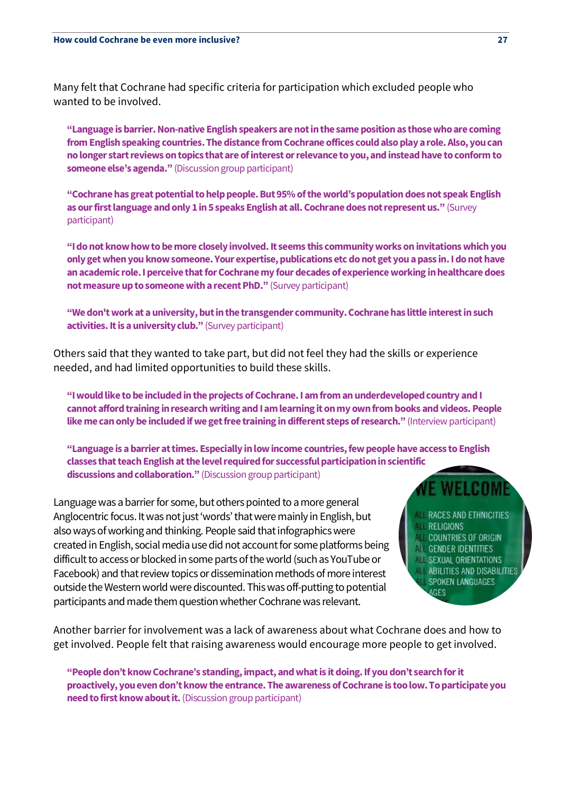Many felt that Cochrane had specific criteria for participation which excluded people who wanted to be involved.

**"Language is barrier. Non-native English speakersare not in the same position as those who are coming from English speaking countries. The distance from Cochrane offices could also play a role.Also, you can no longer start reviews on topics that are of interest or relevance to you, and instead have to conform to someone else's agenda."** (Discussion group participant)

**"Cochrane has great potential to help people. But 95% of the world's population does not speak English as our first language and only 1 in 5 speaks English at all. Cochrane does not represent us."** (Survey participant)

**"I do not know how to be more closely involved. It seems this community works on invitations which you only get when you know someone. Your expertise, publications etc do not get you a pass in. I do not have an academic role. I perceive that for Cochrane my four decades of experience working in healthcare does not measure up to someone with a recent PhD."** (Survey participant)

**"We don't work at a university, but in the transgender community. Cochrane has little interest in such activities. It is a university club."** (Survey participant)

Others said that they wanted to take part, but did not feel they had the skills or experience needed, and had limited opportunities to build these skills.

**"I would like to be included in the projects of Cochrane. I am from an underdeveloped country andI cannot afford training in research writing and I am learning it on my own from books and videos. People like me can only be included if we get free trainingin different steps of research."** (Interview participant)

**"Language is a barrier at times. Especially in low income countries, few people have access to English classes that teach English at the level required for successful participation in scientific discussions and collaboration."** (Discussion group participant)

Language was a barrier for some, but others pointed to a more general Anglocentric focus. It was not just 'words' that were mainly in English, but also ways of working and thinking. People said that infographics were created in English, social media use did not account for some platforms being difficult to access or blocked in some parts of the world (such as YouTube or Facebook) and that review topics or dissemination methods of more interest outside the Western worldwere discounted. This was off-putting to potential participants and made them question whether Cochrane was relevant.

- **RACES AND ETHNICITIES**
- **RELIGIONS**
- **COUNTRIES OF ORIGIN GENDER IDENTITIES**
- **SEXUAL ORIENTATIONS**
- **ABILITIES AND DISABILITIES** 
	- SPOKEN LANGUAGES

**IGES** 

Another barrier for involvement was a lack of awareness about what Cochrane does and how to get involved. People felt that raising awareness would encourage more people to get involved.

**"People don't know Cochrane's standing, impact, and what is it doing. If you don't search for it proactively, you even don't know the entrance. The awareness of Cochrane is too low. To participate you need to first know about it.**(Discussion group participant)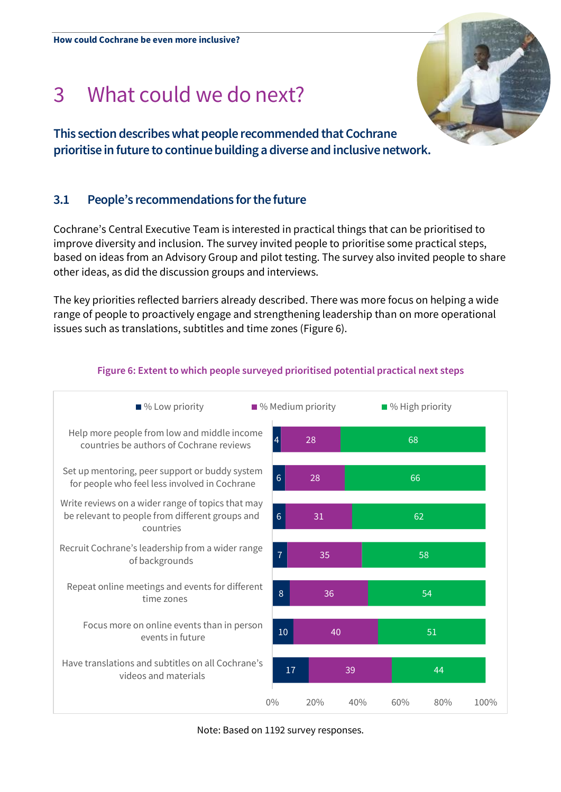# 3 What could we do next?

**This section describes what people recommended that Cochrane prioritise in future to continue building a diverse and inclusive network.**

# **3.1 People's recommendations for the future**

Cochrane's Central Executive Team is interested in practical things that can be prioritised to improve diversity and inclusion. The survey invited people to prioritise some practical steps, based on ideas from an Advisory Group and pilot testing. The survey also invited people to share other ideas, as did the discussion groups and interviews.

The key priorities reflected barriers already described. There was more focus on helping a wide range of people to proactively engage and strengthening leadership than on more operational issues such as translations, subtitles and time zones (Figure 6).



# **Figure 6: Extent to which people surveyed prioritised potential practical next steps**

Note: Based on 1192 survey responses.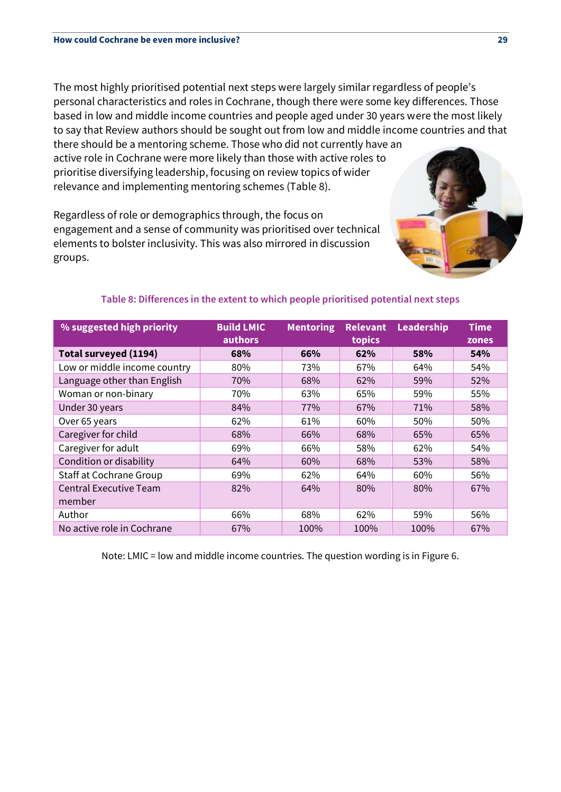The most highly prioritised potential next steps were largely similar regardless of people's personal characteristics and roles in Cochrane, though there were some key differences. Those based in low and middle income countries and people aged under 30 years were the most likely to say that Review authors should be sought out from low and middle income countries and that there should be a mentoring scheme. Those who did not currently have an

active role in Cochrane were more likely than those with active roles to prioritise diversifying leadership, focusing on review topics of wider relevance and implementing mentoring schemes (Table 8).

Regardless of role or demographics through, the focus on engagement and a sense of community was prioritised over technical elements to bolster inclusivity. This was also mirrored in discussion groups.



| % suggested high priority      | <b>Build LMIC</b> | <b>Mentoring</b> | <b>Relevant</b> | Leadership | <b>Time</b> |
|--------------------------------|-------------------|------------------|-----------------|------------|-------------|
|                                | authors           |                  | topics          |            | zones       |
| Total surveyed (1194)          | 68%               | 66%              | 62%             | 58%        | 54%         |
| Low or middle income country   | 80%               | 73%              | 67%             | 64%        | 54%         |
| Language other than English    | 70%               | 68%              | 62%             | 59%        | 52%         |
| Woman or non-binary            | 70%               | 63%              | 65%             | 59%        | 55%         |
| Under 30 years                 | 84%               | 77%              | 67%             | 71%        | 58%         |
| Over 65 years                  | 62%               | 61%              | 60%             | 50%        | 50%         |
| Caregiver for child            | 68%               | 66%              | 68%             | 65%        | 65%         |
| Caregiver for adult            | 69%               | 66%              | 58%             | 62%        | 54%         |
| Condition or disability        | 64%               | 60%              | 68%             | 53%        | 58%         |
| <b>Staff at Cochrane Group</b> | 69%               | 62%              | 64%             | 60%        | 56%         |
| <b>Central Executive Team</b>  | 82%               | 64%              | 80%             | 80%        | 67%         |
| member                         |                   |                  |                 |            |             |
| Author                         | 66%               | 68%              | 62%             | 59%        | 56%         |
| No active role in Cochrane     | 67%               | 100%             | 100%            | 100%       | 67%         |

# **Table 8: Differences in the extent to which people prioritised potential next steps**

Note: LMIC = low and middle income countries. The question wording is in Figure 6.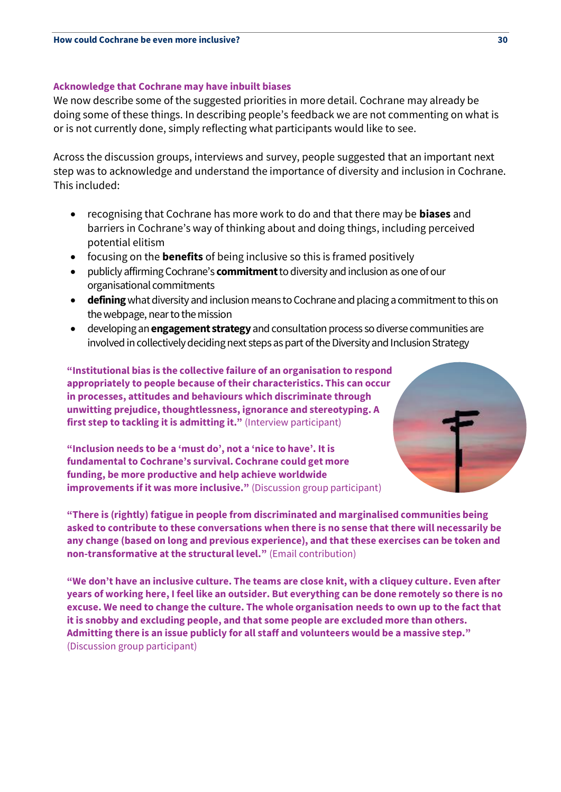#### **Acknowledge that Cochrane may have inbuilt biases**

We now describe some of the suggested priorities in more detail. Cochrane may already be doing some of these things. In describing people's feedback we are not commenting on what is or is not currently done, simply reflecting what participants would like to see.

Across the discussion groups, interviews and survey, people suggested that an important next step was to acknowledge and understand the importance of diversity and inclusion in Cochrane. This included:

- recognising that Cochrane has more work to do and that there may be **biases** and barriers in Cochrane's way of thinking about and doing things, including perceived potential elitism
- focusing on the **benefits** of being inclusive so this is framed positively
- publicly affirming Cochrane's **commitment**to diversity and inclusion as one of our organisational commitments
- **defining**what diversity and inclusion means to Cochrane and placing a commitment to this on the webpage, near to the mission
- developing an **engagement strategy**and consultation process so diverse communities are involved in collectively deciding next steps as part of the Diversity and Inclusion Strategy

**"Institutional bias is the collective failure of an organisation to respond appropriately to people because of their characteristics. This can occur in processes, attitudes and behaviours which discriminate through unwitting prejudice, thoughtlessness, ignorance and stereotyping. A first step to tackling it is admitting it."** (Interview participant)

**"Inclusion needs to be a 'must do', not a 'nice to have'. It is fundamental to Cochrane's survival. Cochrane could get more funding, be more productive and help achieve worldwide improvements if it was more inclusive."** (Discussion group participant)



**"There is (rightly) fatigue in people from discriminated and marginalised communities being asked to contribute to these conversations when there is no sense that there will necessarily be any change (based on long and previous experience), and that these exercises can be token and non-transformative at the structural level."** (Email contribution)

**"We don't have an inclusive culture. The teams are close knit, with a cliquey culture. Even after years of working here, I feel like an outsider. But everything can be done remotely so there is no excuse. We need to change the culture. The whole organisation needs to own up to the fact that it is snobby and excluding people, and that some people are excluded more than others. Admitting there is an issue publicly for all staff and volunteers would be a massive step."**  (Discussion group participant)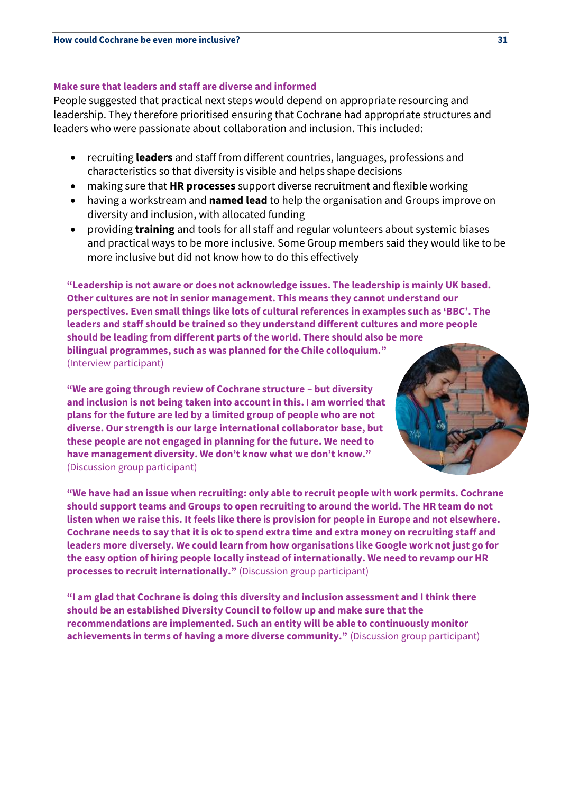#### **Make sure that leaders and staff are diverse and informed**

People suggested that practical next steps would depend on appropriate resourcing and leadership. They therefore prioritised ensuring that Cochrane had appropriate structures and leaders who were passionate about collaboration and inclusion. This included:

- recruiting **leaders** and staff from different countries, languages, professions and characteristics so that diversity is visible and helps shape decisions
- making sure that **HR processes** support diverse recruitment and flexible working
- having a workstream and **named lead** to help the organisation and Groups improve on diversity and inclusion, with allocated funding
- providing **training** and tools for all staff and regular volunteers about systemic biases and practical ways to be more inclusive. Some Group members said they would like to be more inclusive but did not know how to do this effectively

**"Leadership is not aware or does not acknowledge issues. The leadership is mainly UK based. Other cultures are not in senior management. This means they cannot understand our perspectives. Even small things like lots of cultural references in examples such as 'BBC'. The leaders and staff should be trained so they understand different cultures and more people should be leading from different parts of the world. There should also be more bilingual programmes, such as was planned for the Chile colloquium."**  (Interview participant)

**"We are going through review of Cochrane structure – but diversity and inclusion is not being taken into account in this. I am worried that plans for the future are led by a limited group of people who are not diverse. Our strength is our large international collaborator base, but these people are not engaged in planning for the future. We need to have management diversity. We don't know what we don't know."**  (Discussion group participant)



**"We have had an issue when recruiting: only able to recruit people with work permits. Cochrane should support teams and Groups to open recruiting to around the world. The HR team do not listen when we raise this. It feels like there is provision for people in Europe and not elsewhere. Cochrane needs to say that it is ok to spend extra time and extra money on recruiting staff and leaders more diversely. We could learn from how organisations like Google work not just go for the easy option of hiring people locally instead of internationally. We need to revamp our HR processes to recruit internationally."** (Discussion group participant)

**"I am glad that Cochrane is doing this diversity and inclusion assessment and I think there should be an established Diversity Council to follow up and make sure that the recommendations are implemented. Such an entity will be able to continuously monitor achievements in terms of having a more diverse community."** (Discussion group participant)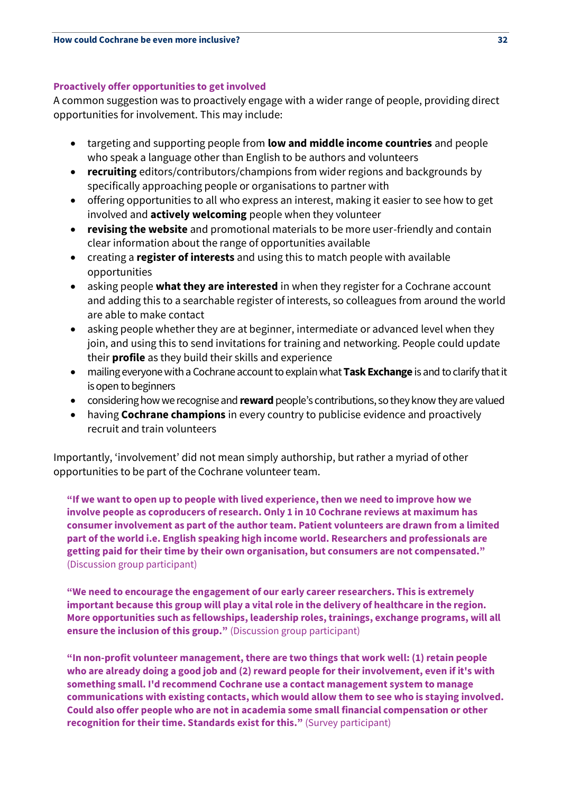# **Proactively offer opportunities to get involved**

A common suggestion was to proactively engage with a wider range of people, providing direct opportunities for involvement. This may include:

- targeting and supporting people from **low and middle income countries** and people who speak a language other than English to be authors and volunteers
- **recruiting** editors/contributors/champions from wider regions and backgrounds by specifically approaching people or organisations to partner with
- offering opportunities to all who express an interest, making it easier to see how to get involved and **actively welcoming** people when they volunteer
- **revising the website** and promotional materials to be more user-friendly and contain clear information about the range of opportunities available
- creating a **register of interests** and using this to match people with available opportunities
- asking people **what they are interested** in when they register for a Cochrane account and adding this to a searchable register of interests, so colleagues from around the world are able to make contact
- asking people whether they are at beginner, intermediate or advanced level when they join, and using this to send invitations for training and networking. People could update their **profile** as they build their skills and experience
- mailing everyone with a Cochrane account to explain what **Task Exchange** is and to clarify that it is open to beginners
- considering how we recognise and **reward**people's contributions, so they know they are valued
- having **Cochrane champions** in every country to publicise evidence and proactively recruit and train volunteers

Importantly, 'involvement' did not mean simply authorship, but rather a myriad of other opportunities to be part of the Cochrane volunteer team.

**"If we want to open up to people with lived experience, then we need to improve how we involve people as coproducers of research. Only 1 in 10 Cochrane reviews at maximum has consumer involvement as part of the author team. Patient volunteers are drawn from a limited part of the world i.e. English speaking high income world. Researchers and professionals are getting paid for their time by their own organisation, but consumers are not compensated."**  (Discussion group participant)

**"We need to encourage the engagement of our early career researchers. This is extremely important because this group will play a vital role in the delivery of healthcare in the region. More opportunities such as fellowships, leadership roles, trainings, exchange programs, will all ensure the inclusion of this group."** (Discussion group participant)

**"In non-profit volunteer management, there are two things that work well: (1) retain people who are already doing a good job and (2) reward people for their involvement, even if it's with something small. I'd recommend Cochrane use a contact management system to manage communications with existing contacts, which would allow them to see who is staying involved. Could also offer people who are not in academia some small financial compensation or other recognition for their time. Standards exist for this."** (Survey participant)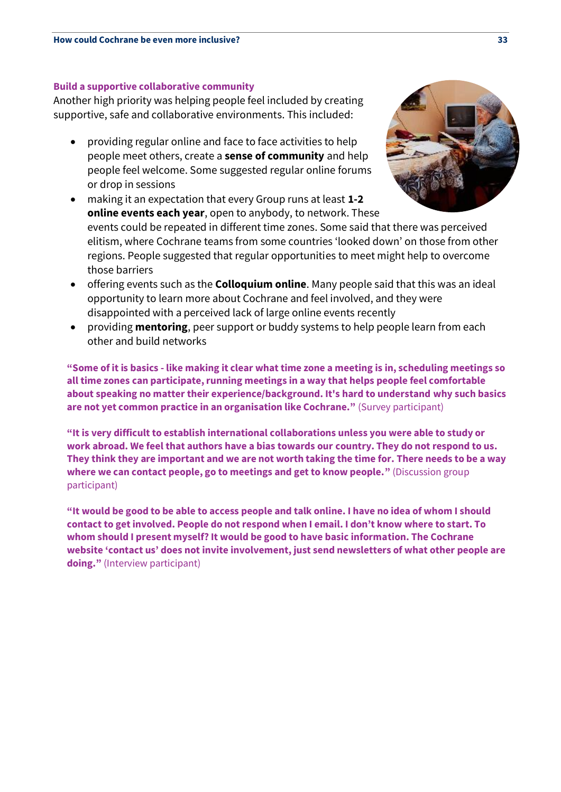#### **Build a supportive collaborative community**

Another high priority was helping people feel included by creating supportive, safe and collaborative environments. This included:

• providing regular online and face to face activities to help people meet others, create a **sense of community** and help people feel welcome. Some suggested regular online forums or drop in sessions

• making it an expectation that every Group runs at least **1-2 online events each year**, open to anybody, to network. These events could be repeated in different time zones. Some said that there was perceived elitism, where Cochrane teams from some countries 'looked down' on those from other regions. People suggested that regular opportunities to meet might help to overcome those barriers

- offering events such as the **Colloquium online**. Many people said that this was an ideal opportunity to learn more about Cochrane and feel involved, and they were disappointed with a perceived lack of large online events recently
- providing **mentoring**, peer support or buddy systems to help people learn from each other and build networks

**"Some of it is basics - like making it clear what time zone a meeting is in, scheduling meetings so all time zones can participate, running meetings in a way that helps people feel comfortable about speaking no matter their experience/background. It's hard to understand why such basics are not yet common practice in an organisation like Cochrane."** (Survey participant)

**"It is very difficult to establish international collaborations unless you were able to study or work abroad. We feel that authors have a bias towards our country. They do not respond to us. They think they are important and we are not worth taking the time for. There needs to be a way where we can contact people, go to meetings and get to know people."** (Discussion group participant)

**"It would be good to be able to access people and talk online. I have no idea of whom I should contact to get involved. People do not respond when I email. I don't know where to start. To whom should I present myself? It would be good to have basic information. The Cochrane website 'contact us' does not invite involvement, just send newsletters of what other people are doing."** (Interview participant)

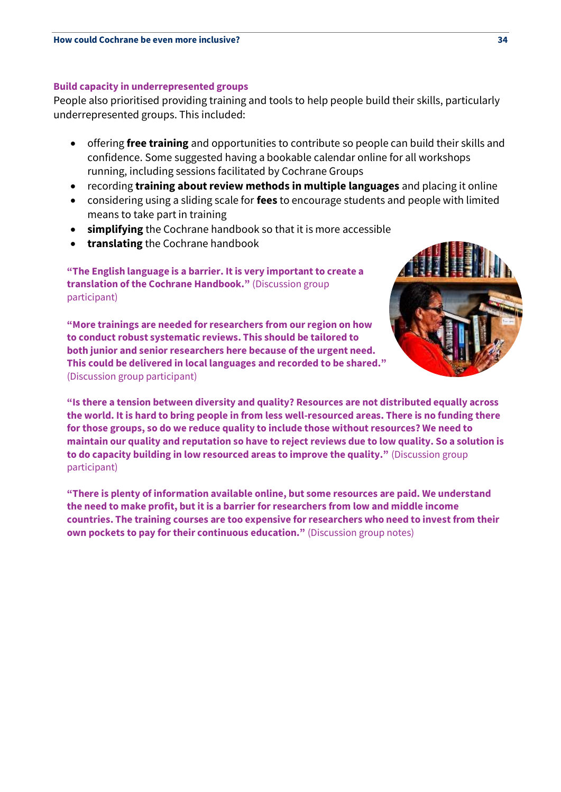### **Build capacity in underrepresented groups**

People also prioritised providing training and tools to help people build their skills, particularly underrepresented groups. This included:

- offering **free training** and opportunities to contribute so people can build their skills and confidence. Some suggested having a bookable calendar online for all workshops running, including sessions facilitated by Cochrane Groups
- recording **training about review methods in multiple languages** and placing it online
- considering using a sliding scale for **fees** to encourage students and people with limited means to take part in training
- **simplifying** the Cochrane handbook so that it is more accessible
- **translating** the Cochrane handbook

**"The English language is a barrier. It is very important to create a translation of the Cochrane Handbook."** (Discussion group participant)

**"More trainings are needed for researchers from our region on how to conduct robust systematic reviews. This should be tailored to both junior and senior researchers here because of the urgent need. This could be delivered in local languages and recorded to be shared."**  (Discussion group participant)



**"Is there a tension between diversity and quality? Resources are not distributed equally across the world. It is hard to bring people in from less well-resourced areas. There is no funding there for those groups, so do we reduce quality to include those without resources? We need to maintain our quality and reputation so have to reject reviews due to low quality. So a solution is to do capacity building in low resourced areas to improve the quality."** (Discussion group participant)

**"There is plenty of information available online, but some resources are paid. We understand the need to make profit, but it is a barrier for researchers from low and middle income countries. The training courses are too expensive for researchers who need to invest from their own pockets to pay for their continuous education."** (Discussion group notes)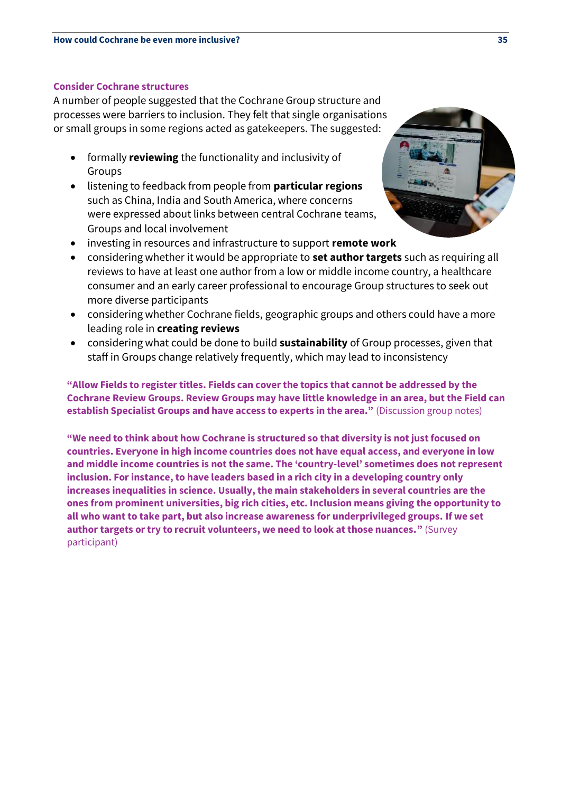### **Consider Cochrane structures**

A number of people suggested that the Cochrane Group structure and processes were barriers to inclusion. They felt that single organisations or small groups in some regions acted as gatekeepers. The suggested:

- formally **reviewing** the functionality and inclusivity of Groups
- listening to feedback from people from **particular regions** such as China, India and South America, where concerns were expressed about links between central Cochrane teams, Groups and local involvement
- investing in resources and infrastructure to support **remote work**



- considering whether it would be appropriate to **set author targets** such as requiring all reviews to have at least one author from a low or middle income country, a healthcare consumer and an early career professional to encourage Group structures to seek out more diverse participants
- considering whether Cochrane fields, geographic groups and others could have a more leading role in **creating reviews**
- considering what could be done to build **sustainability** of Group processes, given that staff in Groups change relatively frequently, which may lead to inconsistency

**"Allow Fields to register titles. Fields can cover the topics that cannot be addressed by the Cochrane Review Groups. Review Groups may have little knowledge in an area, but the Field can establish Specialist Groups and have access to experts in the area."** (Discussion group notes)

**"We need to think about how Cochrane is structured so that diversity is not just focused on countries. Everyone in high income countries does not have equal access, and everyone in low and middle income countries is not the same. The 'country-level' sometimes does not represent inclusion. For instance, to have leaders based in a rich city in a developing country only increases inequalities in science. Usually, the main stakeholders in several countries are the ones from prominent universities, big rich cities, etc. Inclusion means giving the opportunity to all who want to take part, but also increase awareness for underprivileged groups. If we set author targets or try to recruit volunteers, we need to look at those nuances."** (Survey participant)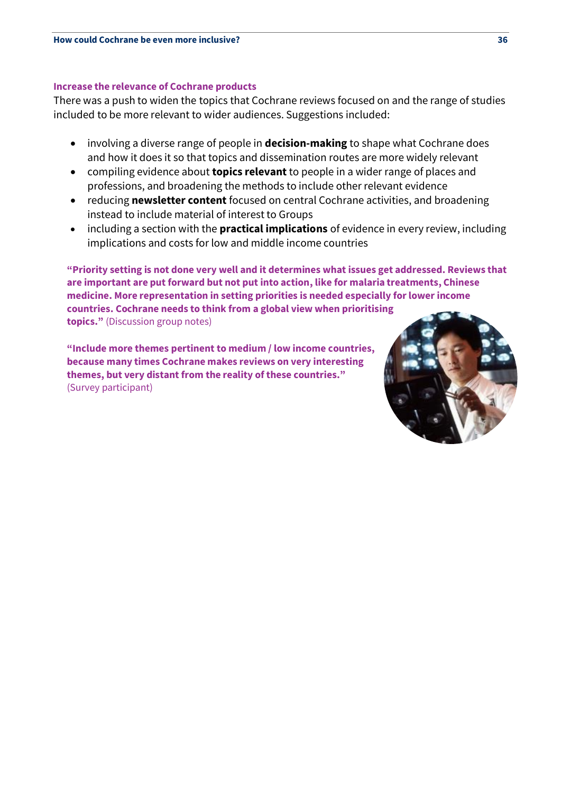#### **Increase the relevance of Cochrane products**

There was a push to widen the topics that Cochrane reviews focused on and the range of studies included to be more relevant to wider audiences. Suggestions included:

- involving a diverse range of people in **decision-making** to shape what Cochrane does and how it does it so that topics and dissemination routes are more widely relevant
- compiling evidence about **topics relevant** to people in a wider range of places and professions, and broadening the methods to include other relevant evidence
- reducing **newsletter content** focused on central Cochrane activities, and broadening instead to include material of interest to Groups
- including a section with the **practical implications** of evidence in every review, including implications and costs for low and middle income countries

**"Priority setting is not done very well and it determines what issues get addressed. Reviews that are important are put forward but not put into action, like for malaria treatments, Chinese medicine. More representation in setting priorities is needed especially for lower income countries. Cochrane needs to think from a global view when prioritising topics."** (Discussion group notes)

**"Include more themes pertinent to medium / low income countries, because many times Cochrane makes reviews on very interesting themes, but very distant from the reality of these countries."**  (Survey participant)

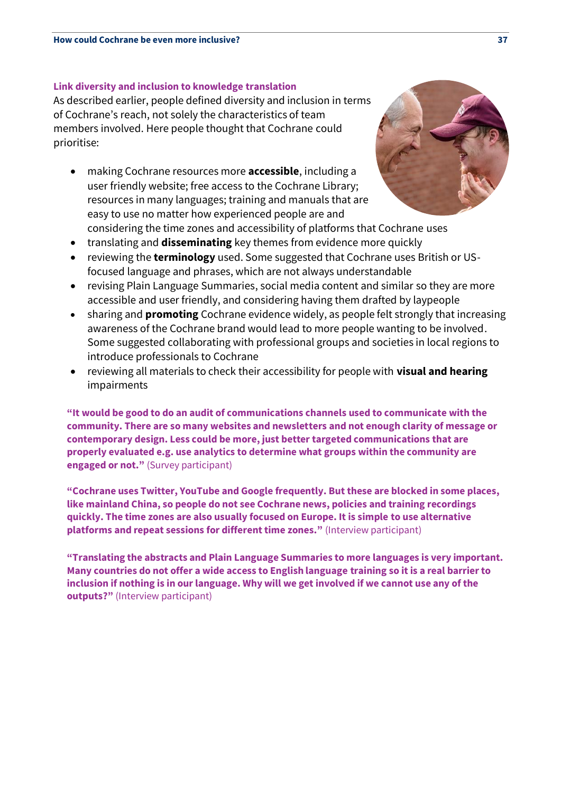#### **Link diversity and inclusion to knowledge translation**

As described earlier, people defined diversity and inclusion in terms of Cochrane's reach, not solely the characteristics of team members involved. Here people thought that Cochrane could prioritise:

- making Cochrane resources more **accessible**, including a user friendly website; free access to the Cochrane Library; resources in many languages; training and manuals that are easy to use no matter how experienced people are and considering the time zones and accessibility of platforms that Cochrane uses
- translating and **disseminating** key themes from evidence more quickly
- reviewing the **terminology** used. Some suggested that Cochrane uses British or USfocused language and phrases, which are not always understandable
- revising Plain Language Summaries, social media content and similar so they are more accessible and user friendly, and considering having them drafted by laypeople
- sharing and **promoting** Cochrane evidence widely, as people felt strongly that increasing awareness of the Cochrane brand would lead to more people wanting to be involved. Some suggested collaborating with professional groups and societies in local regions to introduce professionals to Cochrane
- reviewing all materials to check their accessibility for people with **visual and hearing**  impairments

**"It would be good to do an audit of communications channels used to communicate with the community. There are so many websites and newsletters and not enough clarity of message or contemporary design. Less could be more, just better targeted communications that are properly evaluated e.g. use analytics to determine what groups within the community are engaged or not."** (Survey participant)

**"Cochrane uses Twitter, YouTube and Google frequently. But these are blocked in some places, like mainland China, so people do not see Cochrane news, policies and training recordings quickly. The time zones are also usually focused on Europe. It is simple to use alternative platforms and repeat sessions for different time zones."** (Interview participant)

**"Translating the abstracts and Plain Language Summaries to more languages is very important. Many countries do not offer a wide access to English language training so it is a real barrier to inclusion if nothing is in our language. Why will we get involved if we cannot use any of the outputs?"** (Interview participant)

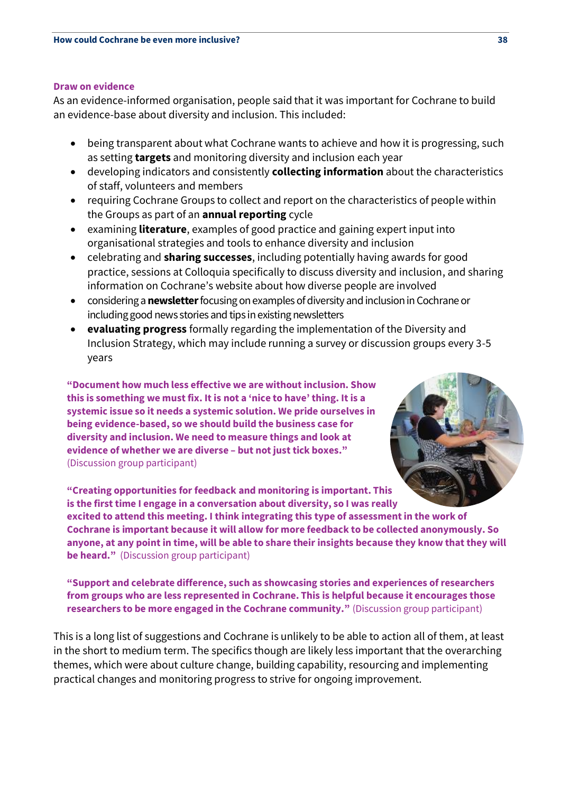#### **Draw on evidence**

As an evidence-informed organisation, people said that it was important for Cochrane to build an evidence-base about diversity and inclusion. This included:

- being transparent about what Cochrane wants to achieve and how it is progressing, such as setting **targets** and monitoring diversity and inclusion each year
- developing indicators and consistently **collecting information** about the characteristics of staff, volunteers and members
- requiring Cochrane Groups to collect and report on the characteristics of people within the Groups as part of an **annual reporting** cycle
- examining **literature**, examples of good practice and gaining expert input into organisational strategies and tools to enhance diversity and inclusion
- celebrating and **sharing successes**, including potentially having awards for good practice, sessions at Colloquia specifically to discuss diversity and inclusion, and sharing information on Cochrane's website about how diverse people are involved
- considering a **newsletter**focusing on examples of diversity and inclusion in Cochrane or including good news stories and tips in existing newsletters
- **evaluating progress** formally regarding the implementation of the Diversity and Inclusion Strategy, which may include running a survey or discussion groups every 3-5 years

**"Document how much less effective we are without inclusion. Show this is something we must fix. It is not a 'nice to have' thing. It is a systemic issue so it needs a systemic solution. We pride ourselves in being evidence-based, so we should build the business case for diversity and inclusion. We need to measure things and look at evidence of whether we are diverse – but not just tick boxes."**  (Discussion group participant)



**"Creating opportunities for feedback and monitoring is important. This is the first time I engage in a conversation about diversity, so I was really excited to attend this meeting. I think integrating this type of assessment in the work of Cochrane is important because it will allow for more feedback to be collected anonymously. So anyone, at any point in time, will be able to share their insights because they know that they will be heard."** (Discussion group participant)

**"Support and celebrate difference, such as showcasing stories and experiences of researchers from groups who are less represented in Cochrane. This is helpful because it encourages those researchers to be more engaged in the Cochrane community."** (Discussion group participant)

This is a long list of suggestions and Cochrane is unlikely to be able to action all of them, at least in the short to medium term. The specifics though are likely less important that the overarching themes, which were about culture change, building capability, resourcing and implementing practical changes and monitoring progress to strive for ongoing improvement.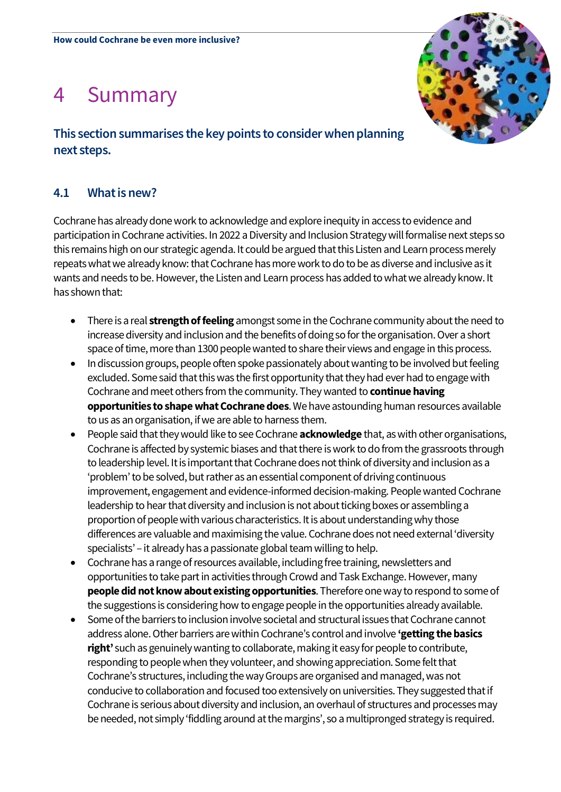# 4 Summary

# **This section summarises the key points to consider when planning next steps.**

# **4.1 What is new?**

Cochrane has already done work to acknowledge andexplore inequity in access to evidence and participation in Cochrane activities. In 2022 a Diversity and Inclusion Strategy will formalise next steps so this remains high on our strategic agenda. It could be argued that this Listen and Learn process merely repeats what we already know: that Cochrane has more work to do to be as diverse and inclusive as it wants and needs to be.However, the Listen and Learn process has added to what we already know. It has shown that:

- There is a real **strength of feeling** amongst some in the Cochrane community about the need to increase diversity and inclusion and the benefits of doing so for the organisation. Over a short space of time, more than 1300 people wanted to share their views and engage in this process.
- In discussion groups, people often spoke passionately about wanting to be involved but feeling excluded. Some said that this was the first opportunity that they had ever had to engage with Cochrane and meet others from the community. They wanted to **continue having opportunities to shape what Cochrane does**.We have astounding human resources available to us as an organisation, if we are able to harness them.
- People said that they would like to see Cochrane **acknowledge** that, as with other organisations, Cochrane is affected by systemic biases and that there is work to do from the grassroots through to leadership level. It is important that Cochrane does not think of diversity and inclusion as a 'problem' to be solved, but rather as an essential component of driving continuous improvement, engagement and evidence-informed decision-making. People wanted Cochrane leadership to hear that diversity and inclusion is not about ticking boxes or assembling a proportion of people with various characteristics. It is about understanding why those differences are valuable and maximising the value. Cochrane does not need external 'diversity specialists' – it already has a passionate global team willing to help.
- Cochrane has a range of resources available, including free training, newsletters and opportunities to take part in activities through Crowd and Task Exchange. However, many **people did not know about existing opportunities**. Therefore one way to respond to some of the suggestions is considering how to engage people in the opportunities already available.
- Some of the barriers to inclusion involve societal and structural issues that Cochrane cannot address alone. Other barriers are within Cochrane's control and involve **'getting the basics right'** such as genuinely wanting to collaborate, making it easy for people to contribute, responding to people when they volunteer, and showing appreciation. Some felt that Cochrane's structures, including the way Groups are organised and managed, was not conducive to collaboration and focused too extensively on universities. They suggested that if Cochrane is serious about diversity and inclusion, an overhaul of structures and processes may be needed, not simply 'fiddling around at the margins', so a multipronged strategy is required.

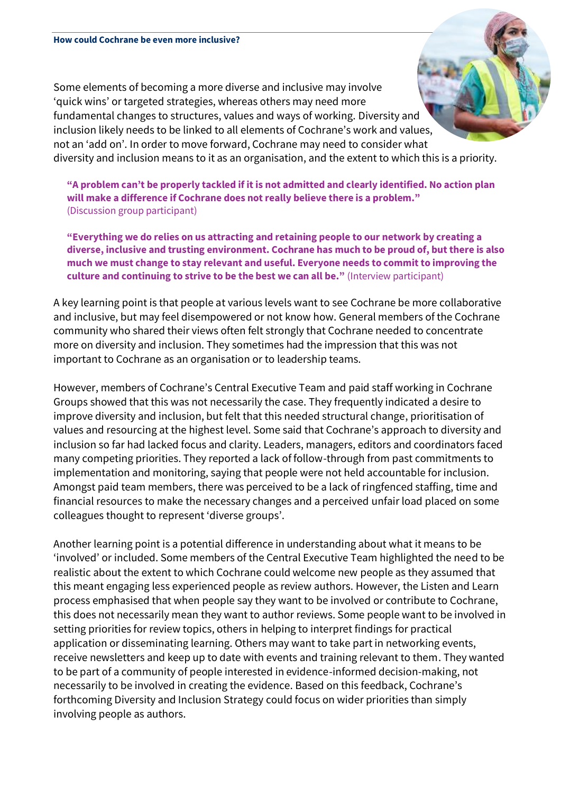Some elements of becoming a more diverse and inclusive may involve 'quick wins' or targeted strategies, whereas others may need more fundamental changes to structures, values and ways of working. Diversity and inclusion likely needs to be linked to all elements of Cochrane's work and values, not an 'add on'. In order to move forward, Cochrane may need to consider what diversity and inclusion means to it as an organisation, and the extent to which this is a priority.

**"A problem can't be properly tackled if it is not admitted and clearly identified. No action plan will make a difference if Cochrane does not really believe there is a problem."**  (Discussion group participant)

**"Everything we do relies on us attracting and retaining people to our network by creating a diverse, inclusive and trusting environment. Cochrane has much to be proud of, but there is also much we must change to stay relevant and useful. Everyone needs to commit to improving the culture and continuing to strive to be the best we can all be."** (Interview participant)

A key learning point is that people at various levels want to see Cochrane be more collaborative and inclusive, but may feel disempowered or not know how. General members of the Cochrane community who shared their views often felt strongly that Cochrane needed to concentrate more on diversity and inclusion. They sometimes had the impression that this was not important to Cochrane as an organisation or to leadership teams.

However, members of Cochrane's Central Executive Team and paid staff working in Cochrane Groups showed that this was not necessarily the case. They frequently indicated a desire to improve diversity and inclusion, but felt that this needed structural change, prioritisation of values and resourcing at the highest level. Some said that Cochrane's approach to diversity and inclusion so far had lacked focus and clarity. Leaders, managers, editors and coordinators faced many competing priorities. They reported a lack of follow-through from past commitments to implementation and monitoring, saying that people were not held accountable for inclusion. Amongst paid team members, there was perceived to be a lack of ringfenced staffing, time and financial resources to make the necessary changes and a perceived unfair load placed on some colleagues thought to represent 'diverse groups'.

Another learning point is a potential difference in understanding about what it means to be 'involved' or included. Some members of the Central Executive Team highlighted the need to be realistic about the extent to which Cochrane could welcome new people as they assumed that this meant engaging less experienced people as review authors. However, the Listen and Learn process emphasised that when people say they want to be involved or contribute to Cochrane, this does not necessarily mean they want to author reviews. Some people want to be involved in setting priorities for review topics, others in helping to interpret findings for practical application or disseminating learning. Others may want to take part in networking events, receive newsletters and keep up to date with events and training relevant to them. They wanted to be part of a community of people interested in evidence-informed decision-making, not necessarily to be involved in creating the evidence. Based on this feedback, Cochrane's forthcoming Diversity and Inclusion Strategy could focus on wider priorities than simply involving people as authors.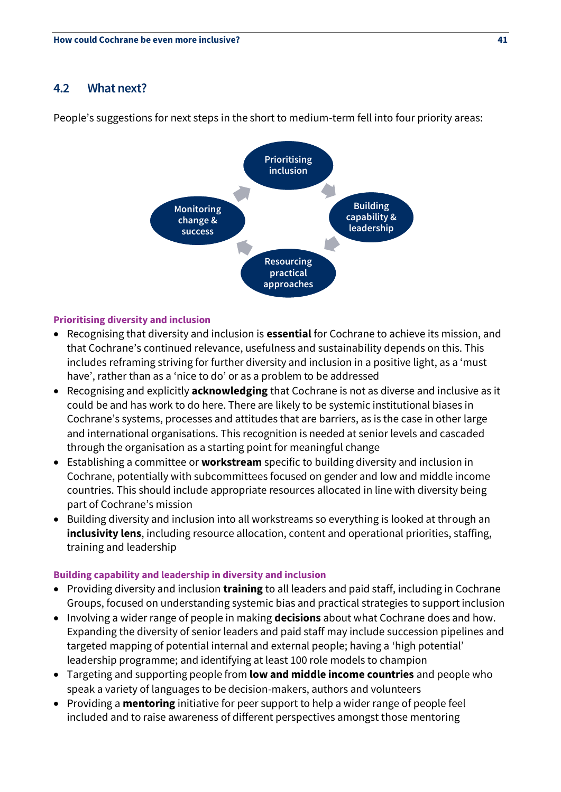# **4.2 What next?**

People's suggestions for next steps in the short to medium-term fell into four priority areas:



# **Prioritising diversity and inclusion**

- Recognising that diversity and inclusion is **essential** for Cochrane to achieve its mission, and that Cochrane's continued relevance, usefulness and sustainability depends on this. This includes reframing striving for further diversity and inclusion in a positive light, as a 'must have', rather than as a 'nice to do' or as a problem to be addressed
- Recognising and explicitly **acknowledging** that Cochrane is not as diverse and inclusive as it could be and has work to do here. There are likely to be systemic institutional biases in Cochrane's systems, processes and attitudes that are barriers, as is the case in other large and international organisations. This recognition is needed at senior levels and cascaded through the organisation as a starting point for meaningful change
- Establishing a committee or **workstream** specific to building diversity and inclusion in Cochrane, potentially with subcommittees focused on gender and low and middle income countries. This should include appropriate resources allocated in line with diversity being part of Cochrane's mission
- Building diversity and inclusion into all workstreams so everything is looked at through an **inclusivity lens**, including resource allocation, content and operational priorities, staffing, training and leadership

### **Building capability and leadership in diversity and inclusion**

- Providing diversity and inclusion **training** to all leaders and paid staff, including in Cochrane Groups, focused on understanding systemic bias and practical strategies to support inclusion
- Involving a wider range of people in making **decisions** about what Cochrane does and how. Expanding the diversity of senior leaders and paid staff may include succession pipelines and targeted mapping of potential internal and external people; having a 'high potential' leadership programme; and identifying at least 100 role models to champion
- Targeting and supporting people from **low and middle income countries** and people who speak a variety of languages to be decision-makers, authors and volunteers
- Providing a **mentoring** initiative for peer support to help a wider range of people feel included and to raise awareness of different perspectives amongst those mentoring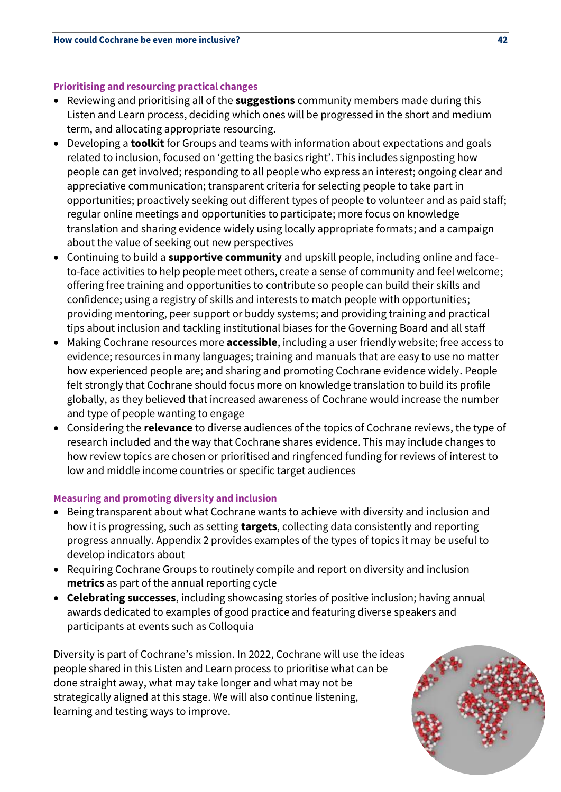# **Prioritising and resourcing practical changes**

- Reviewing and prioritising all of the **suggestions** community members made during this Listen and Learn process, deciding which ones will be progressed in the short and medium term, and allocating appropriate resourcing.
- Developing a **toolkit** for Groups and teams with information about expectations and goals related to inclusion, focused on 'getting the basics right'. This includes signposting how people can get involved; responding to all people who express an interest; ongoing clear and appreciative communication; transparent criteria for selecting people to take part in opportunities; proactively seeking out different types of people to volunteer and as paid staff; regular online meetings and opportunities to participate; more focus on knowledge translation and sharing evidence widely using locally appropriate formats; and a campaign about the value of seeking out new perspectives
- Continuing to build a **supportive community** and upskill people, including online and faceto-face activities to help people meet others, create a sense of community and feel welcome; offering free training and opportunities to contribute so people can build their skills and confidence; using a registry of skills and interests to match people with opportunities; providing mentoring, peer support or buddy systems; and providing training and practical tips about inclusion and tackling institutional biases for the Governing Board and all staff
- Making Cochrane resources more **accessible**, including a user friendly website; free access to evidence; resources in many languages; training and manuals that are easy to use no matter how experienced people are; and sharing and promoting Cochrane evidence widely. People felt strongly that Cochrane should focus more on knowledge translation to build its profile globally, as they believed that increased awareness of Cochrane would increase the number and type of people wanting to engage
- Considering the **relevance** to diverse audiences of the topics of Cochrane reviews, the type of research included and the way that Cochrane shares evidence. This may include changes to how review topics are chosen or prioritised and ringfenced funding for reviews of interest to low and middle income countries or specific target audiences

# **Measuring and promoting diversity and inclusion**

- Being transparent about what Cochrane wants to achieve with diversity and inclusion and how it is progressing, such as setting **targets**, collecting data consistently and reporting progress annually. Appendix 2 provides examples of the types of topics it may be useful to develop indicators about
- Requiring Cochrane Groups to routinely compile and report on diversity and inclusion **metrics** as part of the annual reporting cycle
- **Celebrating successes**, including showcasing stories of positive inclusion; having annual awards dedicated to examples of good practice and featuring diverse speakers and participants at events such as Colloquia

Diversity is part of Cochrane's mission. In 2022, Cochrane will use the ideas people shared in this Listen and Learn process to prioritise what can be done straight away, what may take longer and what may not be strategically aligned at this stage. We will also continue listening, learning and testing ways to improve.

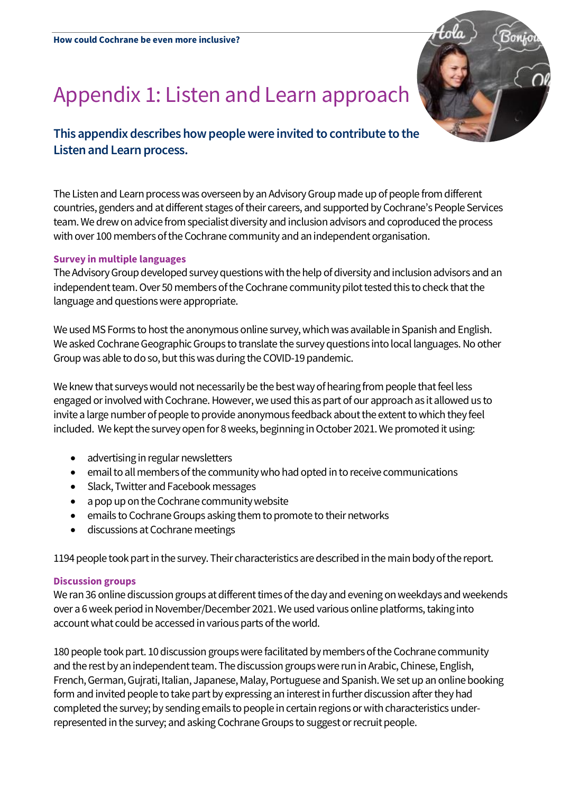# Appendix 1: Listen and Learn approach



# **This appendix describes how people were invited to contribute to the Listen and Learn process.**

The Listen and Learn process was overseen by an Advisory Group made up of people from different countries, genders and at different stages of their careers, and supported by Cochrane's People Services team. We drew on advice from specialist diversity and inclusion advisors and coproduced the process with over 100 members of the Cochrane community and an independent organisation.

# **Survey in multiple languages**

The Advisory Group developed survey questions with the help of diversity and inclusion advisors and an independent team. Over 50 members of the Cochrane community pilot tested this to check that the language and questions were appropriate.

We used MS Forms to host the anonymous online survey, which was available in Spanish and English. We asked Cochrane Geographic Groups to translate the survey questions into local languages. No other Group was able to do so, but this was during the COVID-19 pandemic.

We knew that surveys would not necessarily be the best way of hearing from people that feel less engaged or involved with Cochrane. However, we used this as part of our approach as it allowedus to invite a large number of people to provide anonymous feedback about the extent to which they feel included. We kept the survey open for 8 weeks, beginning in October 2021. We promoted it using:

- advertising in regular newsletters
- email to all members of the community who had opted in to receive communications
- Slack, Twitter and Facebook messages
- a pop up on the Cochrane community website
- emails to Cochrane Groups asking them to promote to their networks
- discussions at Cochrane meetings

1194 people took part in the survey. Their characteristics are described in the main body of the report.

# **Discussion groups**

We ran 36 online discussion groups at different times of the day and evening on weekdays and weekends over a 6 week period in November/December 2021.We used various online platforms, taking into account what could be accessed in various parts of the world.

180 people took part. 10 discussion groups were facilitated by members of the Cochrane community and the rest by an independent team. The discussion groups were run in Arabic, Chinese, English, French, German, Gujrati, Italian, Japanese, Malay, Portuguese and Spanish. We set up an online booking form and invited people to take part by expressing an interest in further discussion after they had completed the survey; by sending emails to people in certain regions or with characteristics underrepresented in the survey; and asking Cochrane Groups to suggest or recruit people.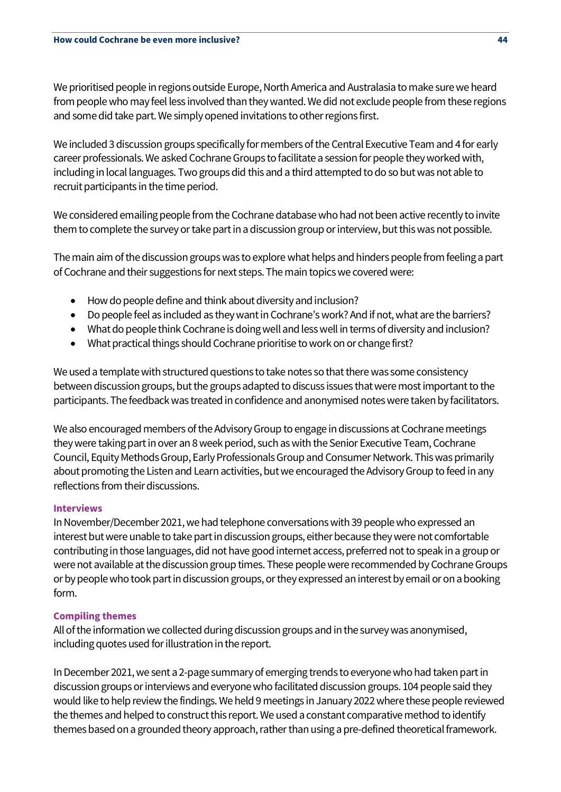We prioritised people in regions outside Europe, North America and Australasia to make sure we heard from people who may feel less involved than they wanted. We did not exclude people from these regions and some did take part. We simply opened invitations to other regions first.

We included 3 discussion groups specifically for members of the Central Executive Team and 4 for early career professionals.We asked Cochrane Groups to facilitate a session for people they worked with, including in local languages. Two groups did this and a third attempted to do so but was not able to recruit participants in the time period.

We considered emailing people from the Cochrane database who had not been active recently to invite them to complete the survey or take part in a discussion group or interview, but this was not possible.

The main aim of the discussion groups was to explore what helps and hinders people from feeling a part of Cochrane and their suggestions for next steps. The main topics we covered were:

- How do people define and think about diversity and inclusion?
- Do people feel as included as they want in Cochrane's work? And if not, what are the barriers?
- What do people think Cochrane is doing well and less well in terms of diversity and inclusion?
- What practical things should Cochrane prioritise to work on or change first?

We used a template with structured questions to take notes so that there was some consistency between discussion groups, but the groups adapted to discuss issues that were most important to the participants. The feedback was treated in confidence and anonymised notes were taken by facilitators.

We also encouraged members of the Advisory Group to engage in discussions at Cochrane meetings they were taking part in over an 8 week period, such as with the Senior Executive Team, Cochrane Council, Equity Methods Group, Early Professionals Group and Consumer Network. This was primarily about promoting the Listen and Learn activities, but we encouraged the Advisory Group to feed in any reflections from their discussions.

# **Interviews**

In November/December 2021, we had telephone conversations with 39 people who expressed an interest but were unable to take part in discussion groups, either because they were not comfortable contributing in those languages, did not have good internet access, preferred not to speak in a group or were not available at the discussion group times. These people were recommended by Cochrane Groups or by people who took part in discussion groups, or they expressed an interest by email or on a booking form.

# **Compiling themes**

All of the information we collected during discussion groups and in the survey was anonymised, including quotes used for illustration in the report.

In December 2021, we sent a 2-page summary of emerging trends to everyone who had taken part in discussion groups or interviews and everyone who facilitated discussion groups. 104 people said they would like to help review the findings. We held 9 meetings in January 2022 where these people reviewed the themes and helped to construct this report. We used a constant comparative method to identify themes based on a grounded theory approach, rather than using a pre-defined theoretical framework.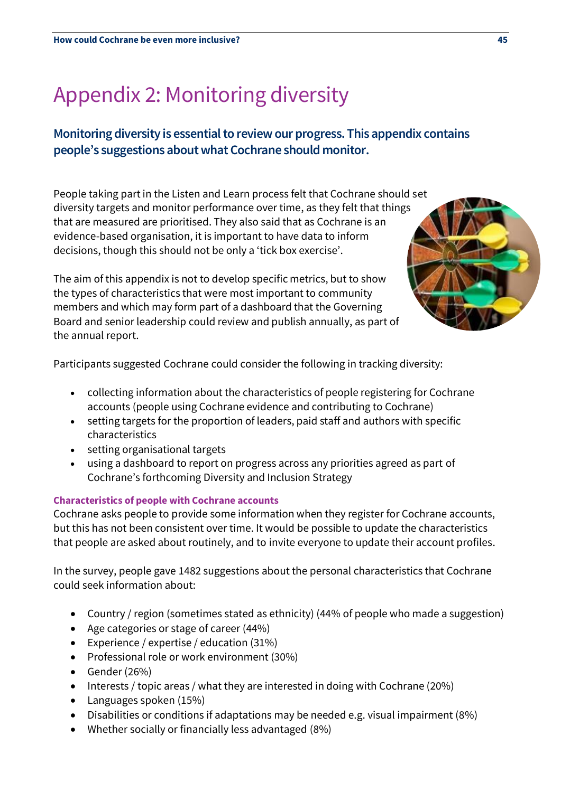# Appendix 2: Monitoring diversity

# **Monitoring diversity is essential to review our progress. This appendix contains people's suggestions about what Cochrane should monitor.**

People taking part in the Listen and Learn process felt that Cochrane should set diversity targets and monitor performance over time, as they felt that things that are measured are prioritised. They also said that as Cochrane is an evidence-based organisation, it is important to have data to inform decisions, though this should not be only a 'tick box exercise'.

The aim of this appendix is not to develop specific metrics, but to show the types of characteristics that were most important to community members and which may form part of a dashboard that the Governing Board and senior leadership could review and publish annually, as part of the annual report.

Participants suggested Cochrane could consider the following in tracking diversity:

- collecting information about the characteristics of people registering for Cochrane accounts (people using Cochrane evidence and contributing to Cochrane)
- setting targets for the proportion of leaders, paid staff and authors with specific characteristics
- setting organisational targets
- using a dashboard to report on progress across any priorities agreed as part of Cochrane's forthcoming Diversity and Inclusion Strategy

# **Characteristics of people with Cochrane accounts**

Cochrane asks people to provide some information when they register for Cochrane accounts, but this has not been consistent over time. It would be possible to update the characteristics that people are asked about routinely, and to invite everyone to update their account profiles.

In the survey, people gave 1482 suggestions about the personal characteristics that Cochrane could seek information about:

- Country / region (sometimes stated as ethnicity) (44% of people who made a suggestion)
- Age categories or stage of career (44%)
- Experience / expertise / education (31%)
- Professional role or work environment (30%)
- Gender (26%)
- Interests / topic areas / what they are interested in doing with Cochrane (20%)
- Languages spoken (15%)
- Disabilities or conditions if adaptations may be needed e.g. visual impairment (8%)
- Whether socially or financially less advantaged (8%)

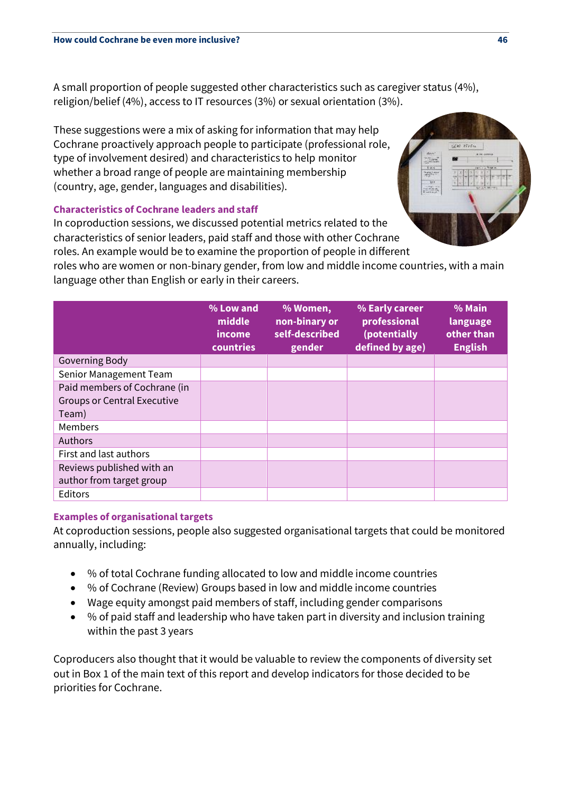A small proportion of people suggested other characteristics such as caregiver status (4%), religion/belief (4%), access to IT resources (3%) or sexual orientation (3%).

These suggestions were a mix of asking for information that may help Cochrane proactively approach people to participate (professional role, type of involvement desired) and characteristics to help monitor whether a broad range of people are maintaining membership (country, age, gender, languages and disabilities).

# **Characteristics of Cochrane leaders and staff**

In coproduction sessions, we discussed potential metrics related to the characteristics of senior leaders, paid staff and those with other Cochrane roles. An example would be to examine the proportion of people in different

roles who are women or non-binary gender, from low and middle income countries, with a main language other than English or early in their careers.

|                                    | % Low and<br>middle<br>income<br>countries | % Women,<br>non-binary or<br>self-described<br>gender | % Early career<br>professional<br>(potentially<br>defined by age) | % Main<br>language<br>other than<br><b>English</b> |
|------------------------------------|--------------------------------------------|-------------------------------------------------------|-------------------------------------------------------------------|----------------------------------------------------|
| Governing Body                     |                                            |                                                       |                                                                   |                                                    |
| Senior Management Team             |                                            |                                                       |                                                                   |                                                    |
| Paid members of Cochrane (in       |                                            |                                                       |                                                                   |                                                    |
| <b>Groups or Central Executive</b> |                                            |                                                       |                                                                   |                                                    |
| Team)                              |                                            |                                                       |                                                                   |                                                    |
| Members                            |                                            |                                                       |                                                                   |                                                    |
| <b>Authors</b>                     |                                            |                                                       |                                                                   |                                                    |
| First and last authors             |                                            |                                                       |                                                                   |                                                    |
| Reviews published with an          |                                            |                                                       |                                                                   |                                                    |
| author from target group           |                                            |                                                       |                                                                   |                                                    |
| Editors                            |                                            |                                                       |                                                                   |                                                    |

# **Examples of organisational targets**

At coproduction sessions, people also suggested organisational targets that could be monitored annually, including:

- % of total Cochrane funding allocated to low and middle income countries
- % of Cochrane (Review) Groups based in low and middle income countries
- Wage equity amongst paid members of staff, including gender comparisons
- % of paid staff and leadership who have taken part in diversity and inclusion training within the past 3 years

Coproducers also thought that it would be valuable to review the components of diversity set out in Box 1 of the main text of this report and develop indicators for those decided to be priorities for Cochrane.